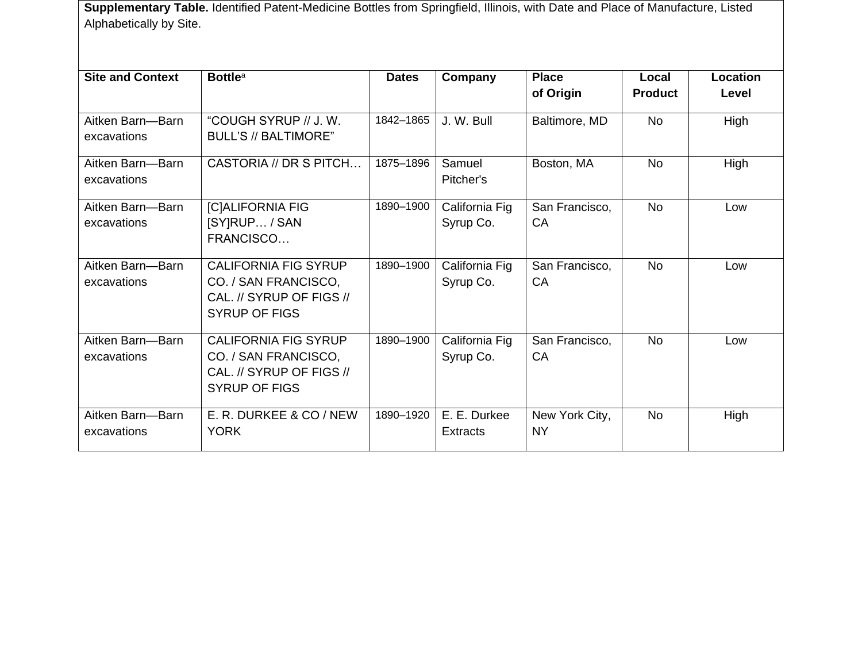**Supplementary Table.** Identified Patent-Medicine Bottles from Springfield, Illinois, with Date and Place of Manufacture, Listed Alphabetically by Site.

| <b>Site and Context</b> | <b>Bottle</b> <sup>a</sup>                       | <b>Dates</b> | Company         | <b>Place</b>   | Local          | Location |
|-------------------------|--------------------------------------------------|--------------|-----------------|----------------|----------------|----------|
|                         |                                                  |              |                 | of Origin      | <b>Product</b> | Level    |
| Aitken Barn-Barn        | "COUGH SYRUP // J.W.                             | 1842-1865    | J. W. Bull      | Baltimore, MD  | <b>No</b>      | High     |
| excavations             | <b>BULL'S // BALTIMORE"</b>                      |              |                 |                |                |          |
| Aitken Barn-Barn        | CASTORIA // DR S PITCH                           | 1875-1896    | Samuel          | Boston, MA     | <b>No</b>      | High     |
| excavations             |                                                  |              | Pitcher's       |                |                |          |
| Aitken Barn-Barn        | <b>[C]ALIFORNIA FIG</b>                          | 1890-1900    | California Fig  | San Francisco, | <b>No</b>      | Low      |
| excavations             | [SY]RUP / SAN                                    |              | Syrup Co.       | CA             |                |          |
|                         | FRANCISCO                                        |              |                 |                |                |          |
| Aitken Barn-Barn        | <b>CALIFORNIA FIG SYRUP</b>                      | 1890-1900    | California Fig  | San Francisco, | <b>No</b>      | Low      |
| excavations             | CO. / SAN FRANCISCO,                             |              | Syrup Co.       | CA             |                |          |
|                         | CAL. // SYRUP OF FIGS //<br><b>SYRUP OF FIGS</b> |              |                 |                |                |          |
|                         |                                                  |              |                 |                |                |          |
| Aitken Barn-Barn        | <b>CALIFORNIA FIG SYRUP</b>                      | 1890-1900    | California Fig  | San Francisco, | <b>No</b>      | Low      |
| excavations             | CO. / SAN FRANCISCO,                             |              | Syrup Co.       | CA             |                |          |
|                         | CAL. // SYRUP OF FIGS //                         |              |                 |                |                |          |
|                         | <b>SYRUP OF FIGS</b>                             |              |                 |                |                |          |
| Aitken Barn-Barn        | E. R. DURKEE & CO / NEW                          | 1890-1920    | E. E. Durkee    | New York City, | <b>No</b>      | High     |
| excavations             | <b>YORK</b>                                      |              | <b>Extracts</b> | <b>NY</b>      |                |          |
|                         |                                                  |              |                 |                |                |          |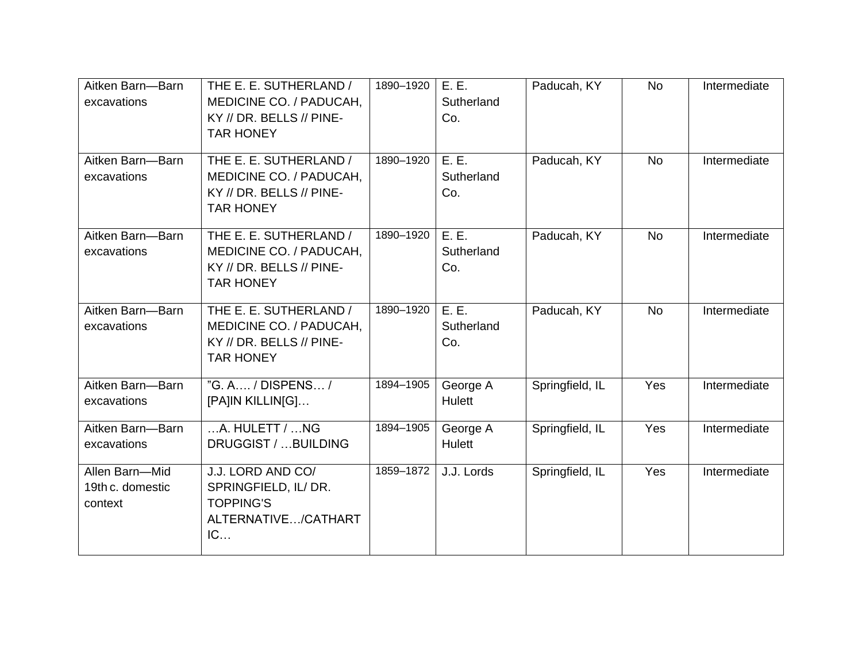| Aitken Barn-Barn<br>excavations               | THE E. E. SUTHERLAND /<br>MEDICINE CO. / PADUCAH,<br>KY // DR. BELLS // PINE-<br><b>TAR HONEY</b> | 1890-1920 | E.E.<br>Sutherland<br>Co.  | Paducah, KY     | <b>No</b> | Intermediate |
|-----------------------------------------------|---------------------------------------------------------------------------------------------------|-----------|----------------------------|-----------------|-----------|--------------|
| Aitken Barn-Barn<br>excavations               | THE E. E. SUTHERLAND /<br>MEDICINE CO. / PADUCAH,<br>KY // DR. BELLS // PINE-<br><b>TAR HONEY</b> | 1890-1920 | E.E.<br>Sutherland<br>Co.  | Paducah, KY     | <b>No</b> | Intermediate |
| Aitken Barn-Barn<br>excavations               | THE E. E. SUTHERLAND /<br>MEDICINE CO. / PADUCAH,<br>KY // DR. BELLS // PINE-<br><b>TAR HONEY</b> | 1890-1920 | E.E.<br>Sutherland<br>Co.  | Paducah, KY     | <b>No</b> | Intermediate |
| Aitken Barn-Barn<br>excavations               | THE E. E. SUTHERLAND /<br>MEDICINE CO. / PADUCAH,<br>KY // DR. BELLS // PINE-<br><b>TAR HONEY</b> | 1890-1920 | E. E.<br>Sutherland<br>Co. | Paducah, KY     | <b>No</b> | Intermediate |
| Aitken Barn-Barn<br>excavations               | "G. A / DISPENS /<br>[PA]IN KILLIN[G]                                                             | 1894-1905 | George A<br>Hulett         | Springfield, IL | Yes       | Intermediate |
| Aitken Barn-Barn<br>excavations               | $$ A. HULETT / $$ NG<br>DRUGGIST /  BUILDING                                                      | 1894-1905 | George A<br>Hulett         | Springfield, IL | Yes       | Intermediate |
| Allen Barn-Mid<br>19th c. domestic<br>context | J.J. LORD AND CO/<br>SPRINGFIELD, IL/ DR.<br><b>TOPPING'S</b><br>ALTERNATIVE/CATHART<br>IC        | 1859-1872 | J.J. Lords                 | Springfield, IL | Yes       | Intermediate |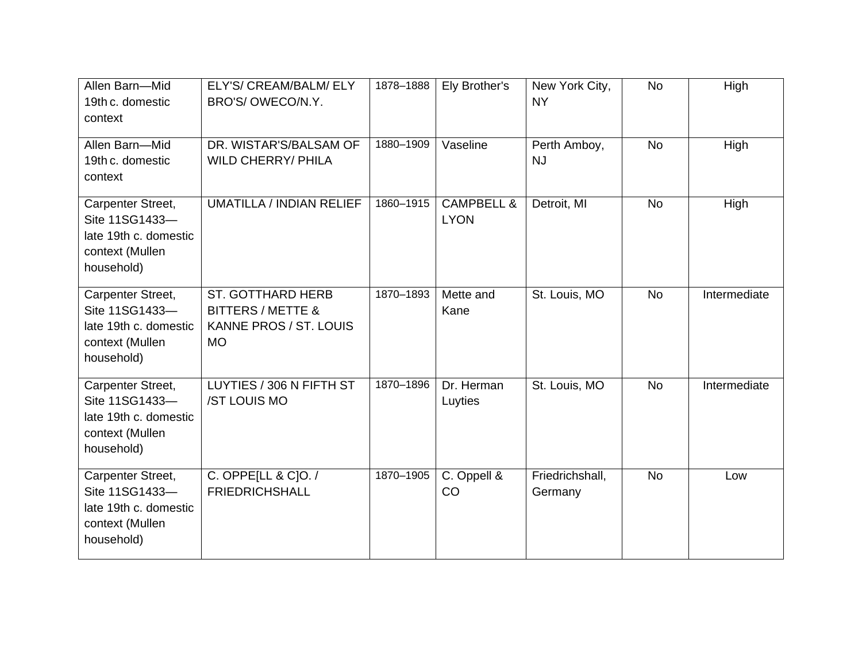| Allen Barn-Mid<br>19th c. domestic<br>context                                                 | ELY'S/ CREAM/BALM/ ELY<br>BRO'S/OWECO/N.Y.                                                      | 1878-1888 | Ely Brother's                        | New York City,<br><b>NY</b> | <b>No</b> | High         |
|-----------------------------------------------------------------------------------------------|-------------------------------------------------------------------------------------------------|-----------|--------------------------------------|-----------------------------|-----------|--------------|
| Allen Barn-Mid<br>19th c. domestic<br>context                                                 | DR. WISTAR'S/BALSAM OF<br><b>WILD CHERRY/ PHILA</b>                                             | 1880-1909 | Vaseline                             | Perth Amboy,<br><b>NJ</b>   | <b>No</b> | High         |
| Carpenter Street,<br>Site 11SG1433-<br>late 19th c. domestic<br>context (Mullen<br>household) | <b>UMATILLA / INDIAN RELIEF</b>                                                                 | 1860-1915 | <b>CAMPBELL &amp;</b><br><b>LYON</b> | Detroit, MI                 | <b>No</b> | High         |
| Carpenter Street,<br>Site 11SG1433-<br>late 19th c. domestic<br>context (Mullen<br>household) | <b>ST. GOTTHARD HERB</b><br><b>BITTERS / METTE &amp;</b><br>KANNE PROS / ST. LOUIS<br><b>MO</b> | 1870-1893 | Mette and<br>Kane                    | St. Louis, MO               | <b>No</b> | Intermediate |
| Carpenter Street,<br>Site 11SG1433-<br>late 19th c. domestic<br>context (Mullen<br>household) | LUYTIES / 306 N FIFTH ST<br>/ST LOUIS MO                                                        | 1870-1896 | Dr. Herman<br>Luyties                | St. Louis, MO               | <b>No</b> | Intermediate |
| Carpenter Street,<br>Site 11SG1433-<br>late 19th c. domestic<br>context (Mullen<br>household) | C. OPPE[LL & C]O. /<br><b>FRIEDRICHSHALL</b>                                                    | 1870-1905 | C. Oppell &<br>CO                    | Friedrichshall,<br>Germany  | <b>No</b> | Low          |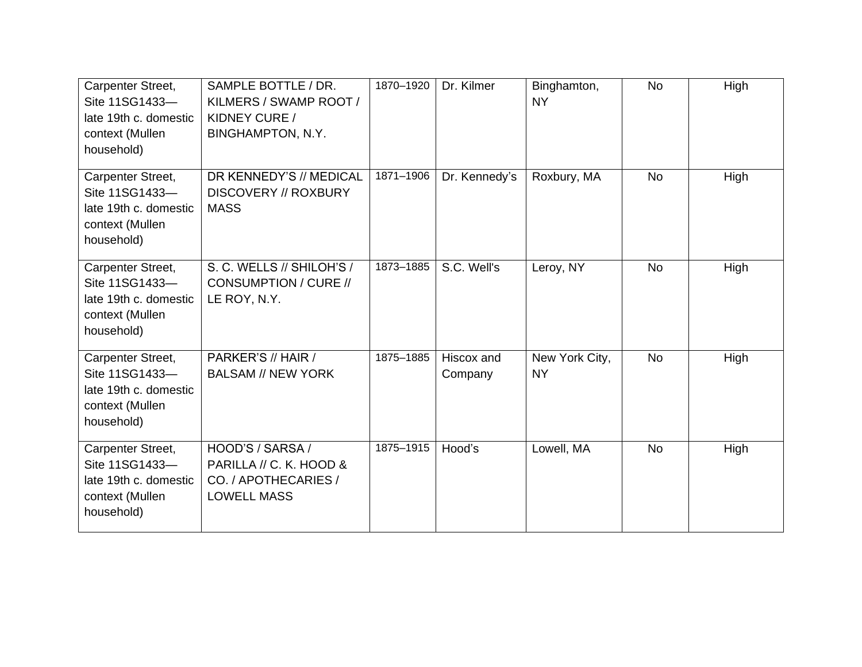| Carpenter Street,<br>Site 11SG1433-<br>late 19th c. domestic<br>context (Mullen<br>household) | SAMPLE BOTTLE / DR.<br>KILMERS / SWAMP ROOT /<br>KIDNEY CURE /<br>BINGHAMPTON, N.Y.       | 1870-1920 | Dr. Kilmer            | Binghamton,<br><b>NY</b>    | <b>No</b> | High |
|-----------------------------------------------------------------------------------------------|-------------------------------------------------------------------------------------------|-----------|-----------------------|-----------------------------|-----------|------|
| Carpenter Street,<br>Site 11SG1433-<br>late 19th c. domestic<br>context (Mullen<br>household) | DR KENNEDY'S // MEDICAL<br><b>DISCOVERY // ROXBURY</b><br><b>MASS</b>                     | 1871-1906 | Dr. Kennedy's         | Roxbury, MA                 | <b>No</b> | High |
| Carpenter Street,<br>Site 11SG1433-<br>late 19th c. domestic<br>context (Mullen<br>household) | S. C. WELLS // SHILOH'S /<br>CONSUMPTION / CURE //<br>LE ROY, N.Y.                        | 1873-1885 | S.C. Well's           | Leroy, NY                   | <b>No</b> | High |
| Carpenter Street,<br>Site 11SG1433-<br>late 19th c. domestic<br>context (Mullen<br>household) | PARKER'S // HAIR /<br><b>BALSAM // NEW YORK</b>                                           | 1875-1885 | Hiscox and<br>Company | New York City,<br><b>NY</b> | <b>No</b> | High |
| Carpenter Street,<br>Site 11SG1433-<br>late 19th c. domestic<br>context (Mullen<br>household) | HOOD'S / SARSA /<br>PARILLA // C. K. HOOD &<br>CO. / APOTHECARIES /<br><b>LOWELL MASS</b> | 1875-1915 | Hood's                | Lowell, MA                  | <b>No</b> | High |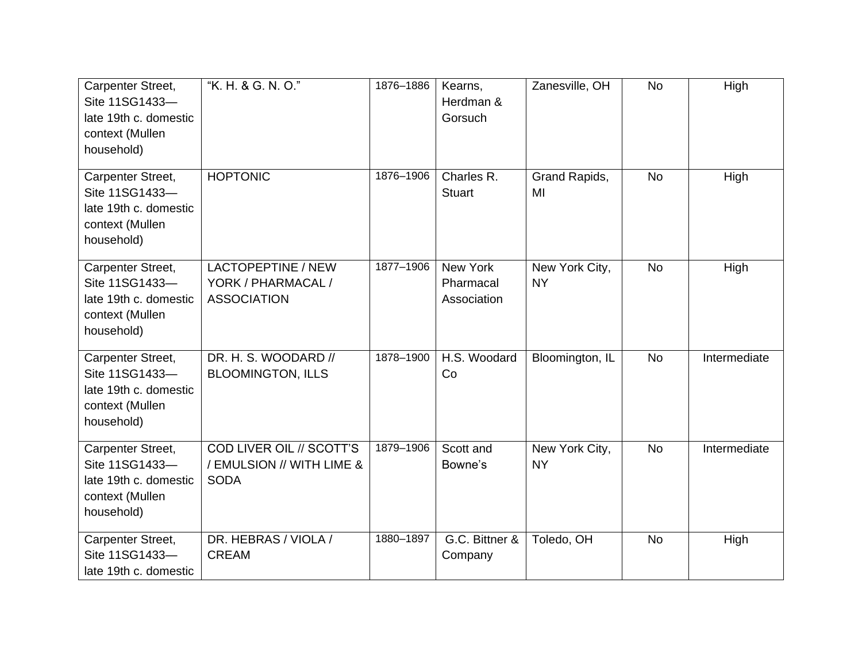| Carpenter Street,<br>Site 11SG1433-<br>late 19th c. domestic<br>context (Mullen<br>household) | "K. H. & G. N. O."                                                   | 1876-1886 | Kearns,<br>Herdman &<br>Gorsuch      | Zanesville, OH              | <b>No</b> | High         |
|-----------------------------------------------------------------------------------------------|----------------------------------------------------------------------|-----------|--------------------------------------|-----------------------------|-----------|--------------|
| Carpenter Street,<br>Site 11SG1433-<br>late 19th c. domestic<br>context (Mullen<br>household) | <b>HOPTONIC</b>                                                      | 1876-1906 | Charles R.<br><b>Stuart</b>          | Grand Rapids,<br>MI         | <b>No</b> | High         |
| Carpenter Street,<br>Site 11SG1433-<br>late 19th c. domestic<br>context (Mullen<br>household) | LACTOPEPTINE / NEW<br>YORK / PHARMACAL /<br><b>ASSOCIATION</b>       | 1877-1906 | New York<br>Pharmacal<br>Association | New York City,<br><b>NY</b> | <b>No</b> | High         |
| Carpenter Street,<br>Site 11SG1433-<br>late 19th c. domestic<br>context (Mullen<br>household) | DR. H. S. WOODARD //<br><b>BLOOMINGTON, ILLS</b>                     | 1878-1900 | H.S. Woodard<br>Co                   | Bloomington, IL             | <b>No</b> | Intermediate |
| Carpenter Street,<br>Site 11SG1433-<br>late 19th c. domestic<br>context (Mullen<br>household) | COD LIVER OIL // SCOTT'S<br>/ EMULSION // WITH LIME &<br><b>SODA</b> | 1879-1906 | Scott and<br>Bowne's                 | New York City,<br><b>NY</b> | <b>No</b> | Intermediate |
| Carpenter Street,<br>Site 11SG1433-<br>late 19th c. domestic                                  | DR. HEBRAS / VIOLA /<br><b>CREAM</b>                                 | 1880-1897 | G.C. Bittner &<br>Company            | Toledo, OH                  | <b>No</b> | High         |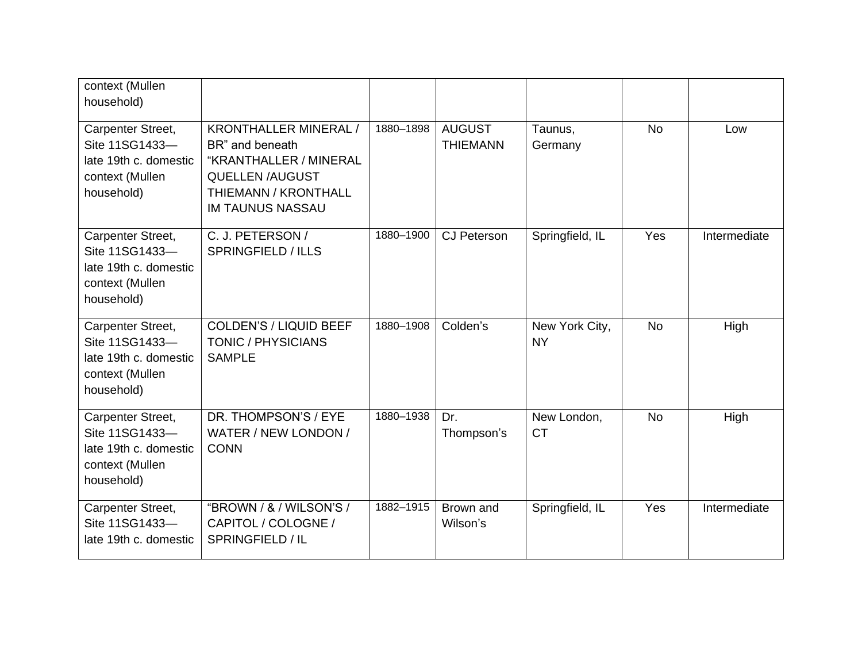| context (Mullen<br>household)                                                                 |                                                                                                                                                        |           |                                  |                             |           |              |
|-----------------------------------------------------------------------------------------------|--------------------------------------------------------------------------------------------------------------------------------------------------------|-----------|----------------------------------|-----------------------------|-----------|--------------|
| Carpenter Street,<br>Site 11SG1433-<br>late 19th c. domestic<br>context (Mullen<br>household) | <b>KRONTHALLER MINERAL /</b><br>BR" and beneath<br>"KRANTHALLER / MINERAL<br><b>QUELLEN /AUGUST</b><br>THIEMANN / KRONTHALL<br><b>IM TAUNUS NASSAU</b> | 1880-1898 | <b>AUGUST</b><br><b>THIEMANN</b> | Taunus,<br>Germany          | <b>No</b> | Low          |
| Carpenter Street,<br>Site 11SG1433-<br>late 19th c. domestic<br>context (Mullen<br>household) | C. J. PETERSON /<br><b>SPRINGFIELD / ILLS</b>                                                                                                          | 1880-1900 | <b>CJ Peterson</b>               | Springfield, IL             | Yes       | Intermediate |
| Carpenter Street,<br>Site 11SG1433-<br>late 19th c. domestic<br>context (Mullen<br>household) | <b>COLDEN'S / LIQUID BEEF</b><br><b>TONIC / PHYSICIANS</b><br><b>SAMPLE</b>                                                                            | 1880-1908 | Colden's                         | New York City,<br><b>NY</b> | <b>No</b> | High         |
| Carpenter Street,<br>Site 11SG1433-<br>late 19th c. domestic<br>context (Mullen<br>household) | DR. THOMPSON'S / EYE<br>WATER / NEW LONDON /<br><b>CONN</b>                                                                                            | 1880-1938 | Dr.<br>Thompson's                | New London,<br><b>CT</b>    | <b>No</b> | High         |
| Carpenter Street,<br>Site 11SG1433-<br>late 19th c. domestic                                  | "BROWN / & / WILSON'S /<br>CAPITOL / COLOGNE /<br>SPRINGFIELD / IL                                                                                     | 1882-1915 | Brown and<br>Wilson's            | Springfield, IL             | Yes       | Intermediate |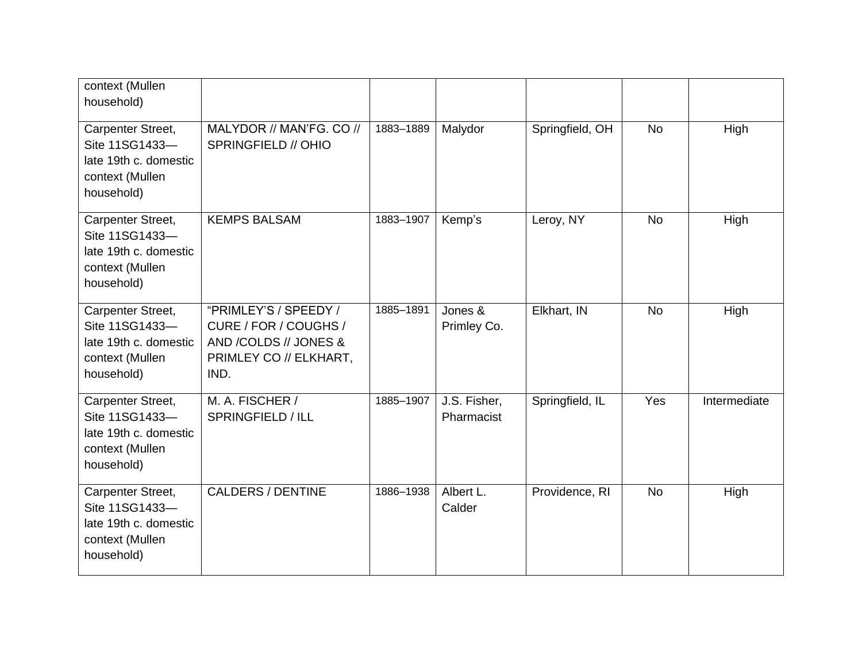| context (Mullen<br>household)                                                                 |                                                                                                           |           |                            |                 |           |              |
|-----------------------------------------------------------------------------------------------|-----------------------------------------------------------------------------------------------------------|-----------|----------------------------|-----------------|-----------|--------------|
| Carpenter Street,<br>Site 11SG1433-<br>late 19th c. domestic<br>context (Mullen<br>household) | MALYDOR // MAN'FG. CO //<br>SPRINGFIELD // OHIO                                                           | 1883-1889 | Malydor                    | Springfield, OH | <b>No</b> | High         |
| Carpenter Street,<br>Site 11SG1433-<br>late 19th c. domestic<br>context (Mullen<br>household) | <b>KEMPS BALSAM</b>                                                                                       | 1883-1907 | Kemp's                     | Leroy, NY       | <b>No</b> | High         |
| Carpenter Street,<br>Site 11SG1433-<br>late 19th c. domestic<br>context (Mullen<br>household) | "PRIMLEY'S / SPEEDY /<br>CURE / FOR / COUGHS /<br>AND /COLDS // JONES &<br>PRIMLEY CO // ELKHART,<br>IND. | 1885-1891 | Jones &<br>Primley Co.     | Elkhart, IN     | <b>No</b> | High         |
| Carpenter Street,<br>Site 11SG1433-<br>late 19th c. domestic<br>context (Mullen<br>household) | M. A. FISCHER /<br>SPRINGFIELD / ILL                                                                      | 1885-1907 | J.S. Fisher,<br>Pharmacist | Springfield, IL | Yes       | Intermediate |
| Carpenter Street,<br>Site 11SG1433-<br>late 19th c. domestic<br>context (Mullen<br>household) | <b>CALDERS / DENTINE</b>                                                                                  | 1886-1938 | Albert L.<br>Calder        | Providence, RI  | <b>No</b> | High         |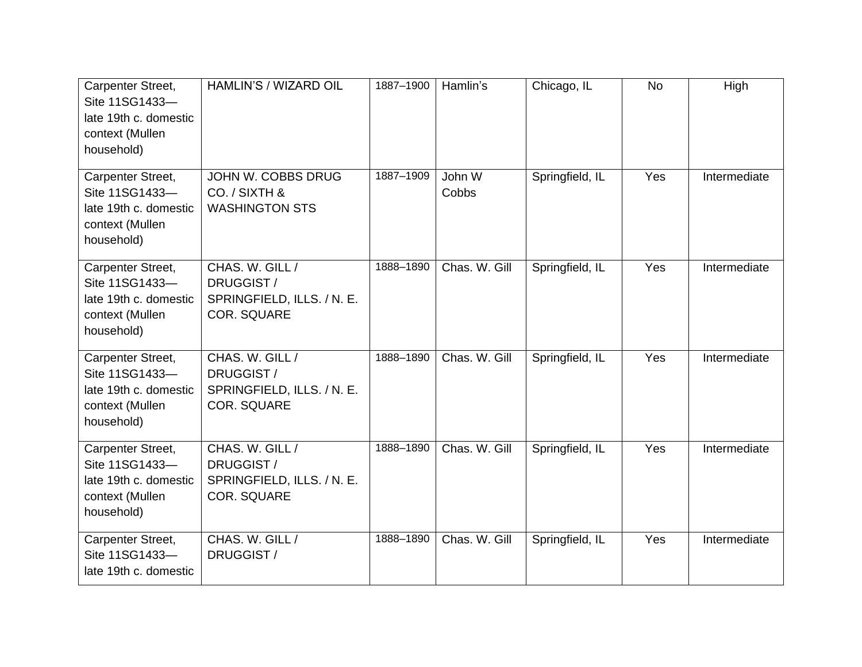| Carpenter Street,<br>Site 11SG1433-<br>late 19th c. domestic<br>context (Mullen<br>household) | HAMLIN'S / WIZARD OIL                                                             | 1887-1900 | Hamlin's        | Chicago, IL     | <b>No</b> | High         |
|-----------------------------------------------------------------------------------------------|-----------------------------------------------------------------------------------|-----------|-----------------|-----------------|-----------|--------------|
| Carpenter Street,<br>Site 11SG1433-<br>late 19th c. domestic<br>context (Mullen<br>household) | JOHN W. COBBS DRUG<br>CO. / SIXTH &<br><b>WASHINGTON STS</b>                      | 1887-1909 | John W<br>Cobbs | Springfield, IL | Yes       | Intermediate |
| Carpenter Street,<br>Site 11SG1433-<br>late 19th c. domestic<br>context (Mullen<br>household) | CHAS. W. GILL /<br>DRUGGIST /<br>SPRINGFIELD, ILLS. / N. E.<br><b>COR. SQUARE</b> | 1888-1890 | Chas. W. Gill   | Springfield, IL | Yes       | Intermediate |
| Carpenter Street,<br>Site 11SG1433-<br>late 19th c. domestic<br>context (Mullen<br>household) | CHAS. W. GILL /<br>DRUGGIST /<br>SPRINGFIELD, ILLS. / N. E.<br><b>COR. SQUARE</b> | 1888-1890 | Chas. W. Gill   | Springfield, IL | Yes       | Intermediate |
| Carpenter Street,<br>Site 11SG1433-<br>late 19th c. domestic<br>context (Mullen<br>household) | CHAS. W. GILL /<br>DRUGGIST /<br>SPRINGFIELD, ILLS. / N. E.<br><b>COR. SQUARE</b> | 1888-1890 | Chas. W. Gill   | Springfield, IL | Yes       | Intermediate |
| Carpenter Street,<br>Site 11SG1433-<br>late 19th c. domestic                                  | CHAS. W. GILL /<br>DRUGGIST /                                                     | 1888-1890 | Chas. W. Gill   | Springfield, IL | Yes       | Intermediate |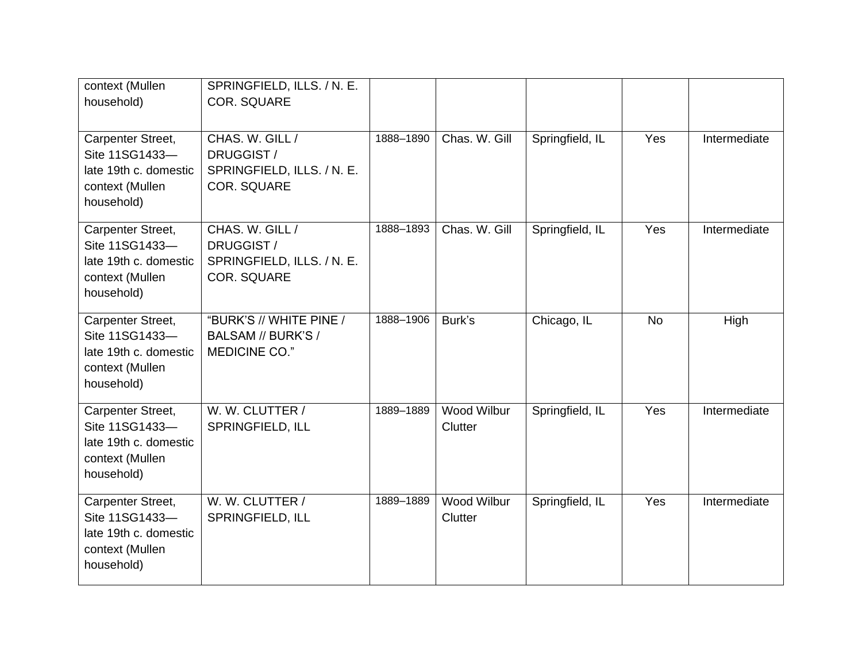| context (Mullen<br>household)                                                                 | SPRINGFIELD, ILLS. / N. E.<br><b>COR. SQUARE</b>                                  |           |                        |                 |           |              |
|-----------------------------------------------------------------------------------------------|-----------------------------------------------------------------------------------|-----------|------------------------|-----------------|-----------|--------------|
| Carpenter Street,<br>Site 11SG1433-<br>late 19th c. domestic<br>context (Mullen<br>household) | CHAS. W. GILL /<br>DRUGGIST/<br>SPRINGFIELD, ILLS. / N. E.<br><b>COR. SQUARE</b>  | 1888-1890 | Chas. W. Gill          | Springfield, IL | Yes       | Intermediate |
| Carpenter Street,<br>Site 11SG1433-<br>late 19th c. domestic<br>context (Mullen<br>household) | CHAS. W. GILL /<br>DRUGGIST /<br>SPRINGFIELD, ILLS. / N. E.<br><b>COR. SQUARE</b> | 1888-1893 | Chas, W. Gill          | Springfield, IL | Yes       | Intermediate |
| Carpenter Street,<br>Site 11SG1433-<br>late 19th c. domestic<br>context (Mullen<br>household) | "BURK'S // WHITE PINE /<br>BALSAM // BURK'S /<br>MEDICINE CO."                    | 1888-1906 | Burk's                 | Chicago, IL     | <b>No</b> | High         |
| Carpenter Street,<br>Site 11SG1433-<br>late 19th c. domestic<br>context (Mullen<br>household) | W. W. CLUTTER /<br>SPRINGFIELD, ILL                                               | 1889-1889 | Wood Wilbur<br>Clutter | Springfield, IL | Yes       | Intermediate |
| Carpenter Street,<br>Site 11SG1433-<br>late 19th c. domestic<br>context (Mullen<br>household) | W. W. CLUTTER /<br>SPRINGFIELD, ILL                                               | 1889-1889 | Wood Wilbur<br>Clutter | Springfield, IL | Yes       | Intermediate |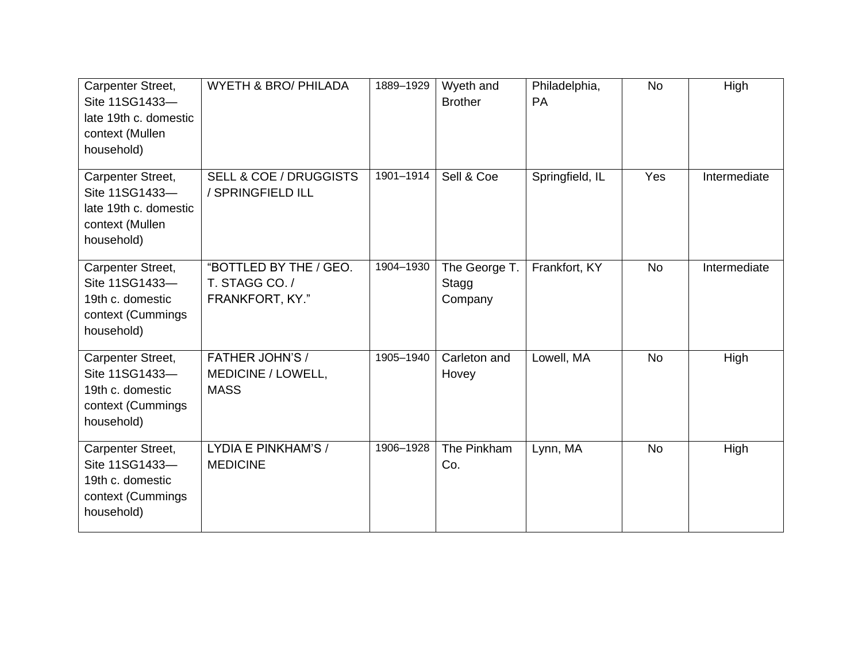| Carpenter Street,<br>Site 11SG1433-<br>late 19th c. domestic<br>context (Mullen<br>household) | <b>WYETH &amp; BRO/ PHILADA</b>                             | 1889-1929 | Wyeth and<br><b>Brother</b>       | Philadelphia,<br><b>PA</b> | <b>No</b> | High         |
|-----------------------------------------------------------------------------------------------|-------------------------------------------------------------|-----------|-----------------------------------|----------------------------|-----------|--------------|
| Carpenter Street,<br>Site 11SG1433-<br>late 19th c. domestic<br>context (Mullen<br>household) | <b>SELL &amp; COE / DRUGGISTS</b><br>/ SPRINGFIELD ILL      | 1901-1914 | Sell & Coe                        | Springfield, IL            | Yes       | Intermediate |
| Carpenter Street,<br>Site 11SG1433-<br>19th c. domestic<br>context (Cummings<br>household)    | "BOTTLED BY THE / GEO.<br>T. STAGG CO. /<br>FRANKFORT, KY." | 1904-1930 | The George T.<br>Stagg<br>Company | Frankfort, KY              | <b>No</b> | Intermediate |
| Carpenter Street,<br>Site 11SG1433-<br>19th c. domestic<br>context (Cummings<br>household)    | <b>FATHER JOHN'S /</b><br>MEDICINE / LOWELL,<br><b>MASS</b> | 1905-1940 | Carleton and<br>Hovey             | Lowell, MA                 | <b>No</b> | High         |
| Carpenter Street,<br>Site 11SG1433-<br>19th c. domestic<br>context (Cummings<br>household)    | LYDIA E PINKHAM'S /<br><b>MEDICINE</b>                      | 1906-1928 | The Pinkham<br>Co.                | Lynn, MA                   | <b>No</b> | High         |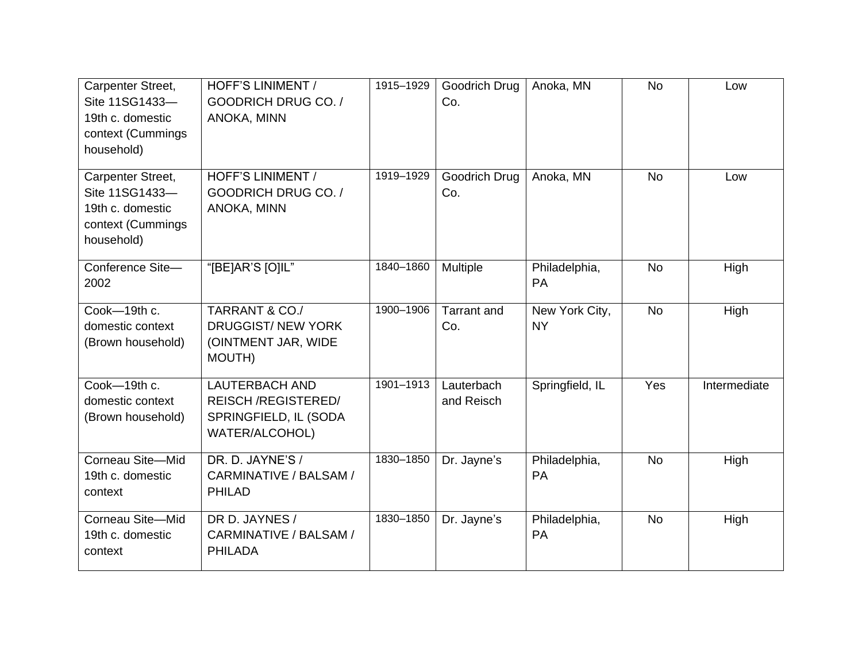| Carpenter Street,<br>Site 11SG1433-<br>19th c. domestic<br>context (Cummings<br>household) | <b>HOFF'S LINIMENT /</b><br><b>GOODRICH DRUG CO./</b><br>ANOKA, MINN                          | 1915-1929 | Goodrich Drug<br>Co.      | Anoka, MN                   | <b>No</b> | Low          |
|--------------------------------------------------------------------------------------------|-----------------------------------------------------------------------------------------------|-----------|---------------------------|-----------------------------|-----------|--------------|
| Carpenter Street,<br>Site 11SG1433-<br>19th c. domestic<br>context (Cummings<br>household) | HOFF'S LINIMENT /<br>GOODRICH DRUG CO. /<br>ANOKA, MINN                                       | 1919-1929 | Goodrich Drug<br>Co.      | Anoka, MN                   | <b>No</b> | Low          |
| Conference Site-<br>2002                                                                   | "[BE]AR'S [O]IL"                                                                              | 1840-1860 | Multiple                  | Philadelphia,<br>PA         | <b>No</b> | High         |
| Cook-19th c.<br>domestic context<br>(Brown household)                                      | TARRANT & CO./<br><b>DRUGGIST/ NEW YORK</b><br>(OINTMENT JAR, WIDE<br><b>MOUTH)</b>           | 1900-1906 | <b>Tarrant</b> and<br>Co. | New York City,<br><b>NY</b> | <b>No</b> | High         |
| Cook-19th c.<br>domestic context<br>(Brown household)                                      | <b>LAUTERBACH AND</b><br><b>REISCH/REGISTERED/</b><br>SPRINGFIELD, IL (SODA<br>WATER/ALCOHOL) | 1901-1913 | Lauterbach<br>and Reisch  | Springfield, IL             | Yes       | Intermediate |
| Corneau Site-Mid<br>19th c. domestic<br>context                                            | DR. D. JAYNE'S /<br>CARMINATIVE / BALSAM /<br><b>PHILAD</b>                                   | 1830-1850 | Dr. Jayne's               | Philadelphia,<br>PA         | <b>No</b> | High         |
| Corneau Site-Mid<br>19th c. domestic<br>context                                            | DR D. JAYNES /<br>CARMINATIVE / BALSAM /<br><b>PHILADA</b>                                    | 1830-1850 | Dr. Jayne's               | Philadelphia,<br>PA         | <b>No</b> | High         |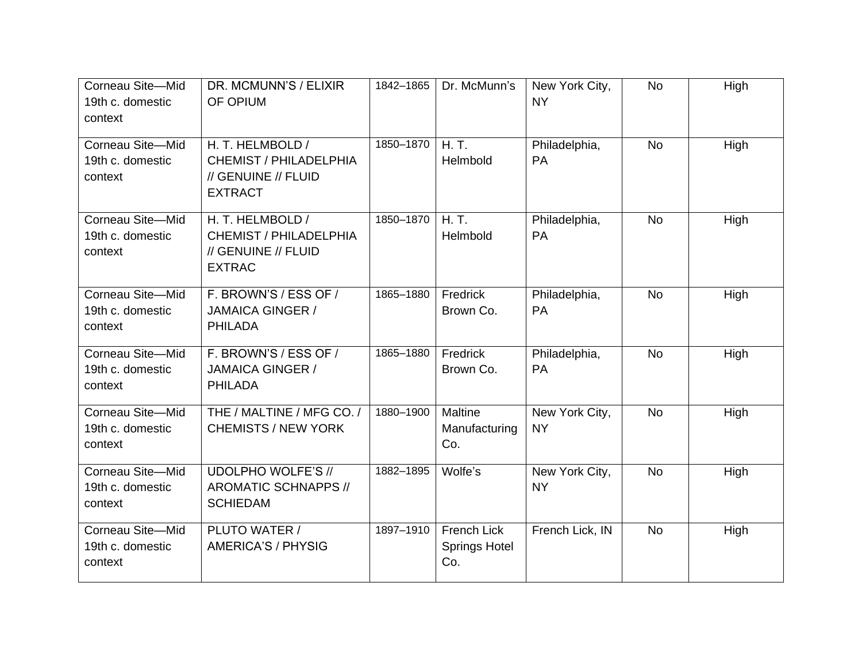| Corneau Site-Mid<br>19th c. domestic<br>context | DR. MCMUNN'S / ELIXIR<br>OF OPIUM                                                   | 1842-1865 | Dr. McMunn's                               | New York City,<br><b>NY</b> | <b>No</b> | High |
|-------------------------------------------------|-------------------------------------------------------------------------------------|-----------|--------------------------------------------|-----------------------------|-----------|------|
| Corneau Site-Mid<br>19th c. domestic<br>context | H. T. HELMBOLD /<br>CHEMIST / PHILADELPHIA<br>// GENUINE // FLUID<br><b>EXTRACT</b> | 1850-1870 | H.T.<br>Helmbold                           | Philadelphia,<br>PA         | <b>No</b> | High |
| Corneau Site-Mid<br>19th c. domestic<br>context | H. T. HELMBOLD /<br>CHEMIST / PHILADELPHIA<br>// GENUINE // FLUID<br><b>EXTRAC</b>  | 1850-1870 | H.T.<br>Helmbold                           | Philadelphia,<br>PA         | <b>No</b> | High |
| Corneau Site-Mid<br>19th c. domestic<br>context | F. BROWN'S / ESS OF /<br><b>JAMAICA GINGER /</b><br><b>PHILADA</b>                  | 1865-1880 | Fredrick<br>Brown Co.                      | Philadelphia,<br><b>PA</b>  | <b>No</b> | High |
| Corneau Site-Mid<br>19th c. domestic<br>context | F. BROWN'S / ESS OF /<br><b>JAMAICA GINGER /</b><br><b>PHILADA</b>                  | 1865-1880 | Fredrick<br>Brown Co.                      | Philadelphia,<br>PA         | <b>No</b> | High |
| Corneau Site-Mid<br>19th c. domestic<br>context | THE / MALTINE / MFG CO. /<br><b>CHEMISTS / NEW YORK</b>                             | 1880-1900 | Maltine<br>Manufacturing<br>Co.            | New York City,<br><b>NY</b> | <b>No</b> | High |
| Corneau Site-Mid<br>19th c. domestic<br>context | <b>UDOLPHO WOLFE'S //</b><br><b>AROMATIC SCHNAPPS //</b><br><b>SCHIEDAM</b>         | 1882-1895 | Wolfe's                                    | New York City,<br><b>NY</b> | <b>No</b> | High |
| Corneau Site-Mid<br>19th c. domestic<br>context | PLUTO WATER /<br>AMERICA'S / PHYSIG                                                 | 1897-1910 | French Lick<br><b>Springs Hotel</b><br>Co. | French Lick, IN             | <b>No</b> | High |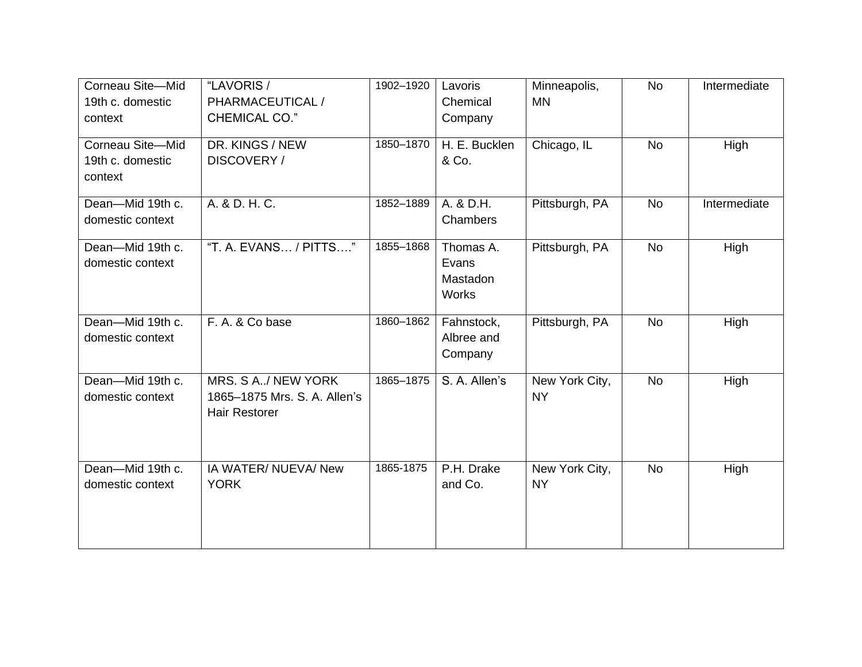| Corneau Site-Mid<br>19th c. domestic<br>context | "LAVORIS /<br>PHARMACEUTICAL /<br><b>CHEMICAL CO."</b>                     | 1902-1920 | Lavoris<br>Chemical<br>Company          | Minneapolis,<br><b>MN</b>   | <b>No</b> | Intermediate |
|-------------------------------------------------|----------------------------------------------------------------------------|-----------|-----------------------------------------|-----------------------------|-----------|--------------|
| Corneau Site-Mid<br>19th c. domestic<br>context | DR. KINGS / NEW<br>DISCOVERY /                                             | 1850-1870 | H. E. Bucklen<br>& Co.                  | Chicago, IL                 | <b>No</b> | High         |
| Dean-Mid 19th c.<br>domestic context            | A. & D. H. C.                                                              | 1852-1889 | A. & D.H.<br>Chambers                   | Pittsburgh, PA              | <b>No</b> | Intermediate |
| Dean-Mid 19th c.<br>domestic context            | "T. A. EVANS / PITTS"                                                      | 1855-1868 | Thomas A.<br>Evans<br>Mastadon<br>Works | Pittsburgh, PA              | <b>No</b> | High         |
| Dean-Mid 19th c.<br>domestic context            | F. A. & Co base                                                            | 1860-1862 | Fahnstock,<br>Albree and<br>Company     | Pittsburgh, PA              | <b>No</b> | High         |
| Dean-Mid 19th c.<br>domestic context            | MRS. S A/ NEW YORK<br>1865-1875 Mrs. S. A. Allen's<br><b>Hair Restorer</b> | 1865-1875 | S. A. Allen's                           | New York City,<br><b>NY</b> | No        | High         |
| Dean-Mid 19th c.<br>domestic context            | IA WATER/ NUEVA/ New<br><b>YORK</b>                                        | 1865-1875 | P.H. Drake<br>and Co.                   | New York City,<br><b>NY</b> | No        | High         |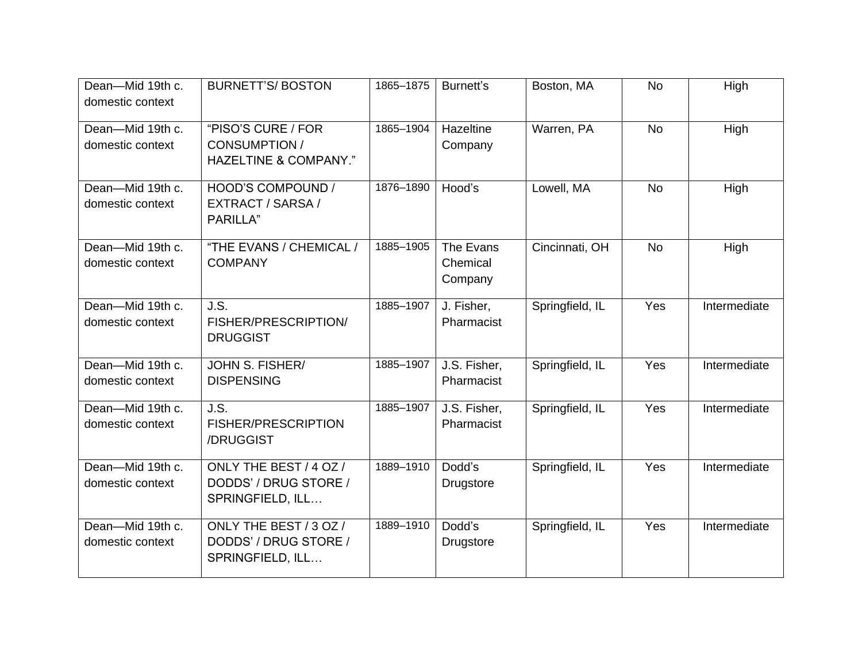| Dean-Mid 19th c.<br>domestic context | <b>BURNETT'S/BOSTON</b>                                             | 1865-1875 | Burnett's                        | Boston, MA      | <b>No</b> | High         |
|--------------------------------------|---------------------------------------------------------------------|-----------|----------------------------------|-----------------|-----------|--------------|
| Dean-Mid 19th c.<br>domestic context | "PISO'S CURE / FOR<br><b>CONSUMPTION /</b><br>HAZELTINE & COMPANY." | 1865-1904 | Hazeltine<br>Company             | Warren, PA      | <b>No</b> | High         |
| Dean-Mid 19th c.<br>domestic context | HOOD'S COMPOUND /<br>EXTRACT / SARSA /<br><b>PARILLA</b> "          | 1876-1890 | Hood's                           | Lowell, MA      | <b>No</b> | High         |
| Dean-Mid 19th c.<br>domestic context | "THE EVANS / CHEMICAL /<br><b>COMPANY</b>                           | 1885-1905 | The Evans<br>Chemical<br>Company | Cincinnati, OH  | <b>No</b> | High         |
| Dean-Mid 19th c.<br>domestic context | J.S.<br>FISHER/PRESCRIPTION/<br><b>DRUGGIST</b>                     | 1885-1907 | J. Fisher,<br>Pharmacist         | Springfield, IL | Yes       | Intermediate |
| Dean-Mid 19th c.<br>domestic context | JOHN S. FISHER/<br><b>DISPENSING</b>                                | 1885-1907 | J.S. Fisher,<br>Pharmacist       | Springfield, IL | Yes       | Intermediate |
| Dean-Mid 19th c.<br>domestic context | J.S.<br>FISHER/PRESCRIPTION<br>/DRUGGIST                            | 1885-1907 | J.S. Fisher,<br>Pharmacist       | Springfield, IL | Yes       | Intermediate |
| Dean-Mid 19th c.<br>domestic context | ONLY THE BEST / 4 OZ /<br>DODDS' / DRUG STORE /<br>SPRINGFIELD, ILL | 1889-1910 | Dodd's<br><b>Drugstore</b>       | Springfield, IL | Yes       | Intermediate |
| Dean-Mid 19th c.<br>domestic context | ONLY THE BEST / 3 OZ /<br>DODDS' / DRUG STORE /<br>SPRINGFIELD, ILL | 1889-1910 | Dodd's<br>Drugstore              | Springfield, IL | Yes       | Intermediate |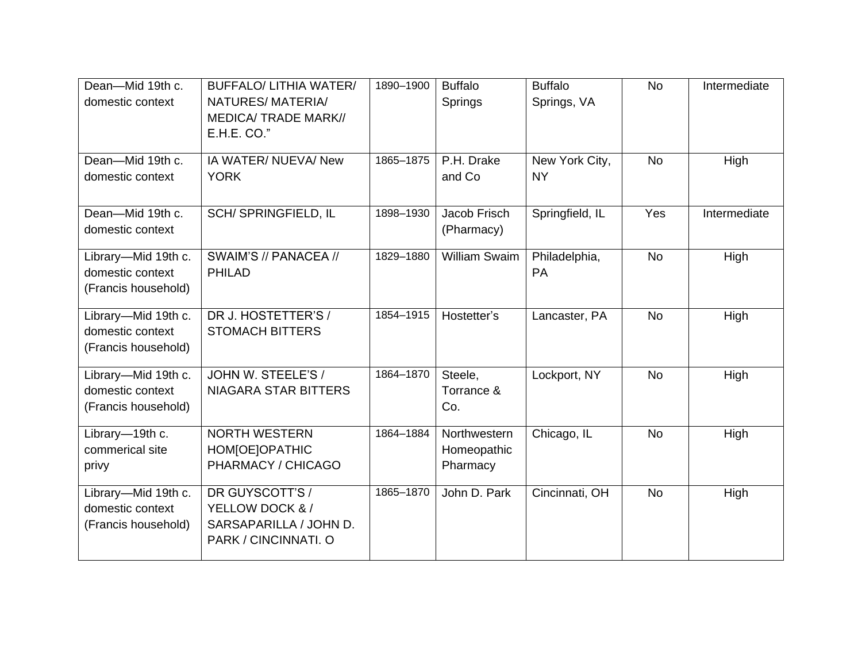| Dean-Mid 19th c.<br>domestic context                           | <b>BUFFALO/ LITHIA WATER/</b><br>NATURES/MATERIA/<br><b>MEDICA/ TRADE MARK//</b><br>E.H.E. CO." | 1890-1900 | <b>Buffalo</b><br>Springs               | <b>Buffalo</b><br>Springs, VA | <b>No</b> | Intermediate |
|----------------------------------------------------------------|-------------------------------------------------------------------------------------------------|-----------|-----------------------------------------|-------------------------------|-----------|--------------|
| Dean-Mid 19th c.<br>domestic context                           | IA WATER/ NUEVA/ New<br><b>YORK</b>                                                             | 1865-1875 | P.H. Drake<br>and Co                    | New York City,<br><b>NY</b>   | <b>No</b> | High         |
| Dean-Mid 19th c.<br>domestic context                           | SCH/ SPRINGFIELD, IL                                                                            | 1898-1930 | Jacob Frisch<br>(Pharmacy)              | Springfield, IL               | Yes       | Intermediate |
| Library-Mid 19th c.<br>domestic context<br>(Francis household) | SWAIM'S // PANACEA //<br><b>PHILAD</b>                                                          | 1829-1880 | <b>William Swaim</b>                    | Philadelphia,<br><b>PA</b>    | <b>No</b> | High         |
| Library-Mid 19th c.<br>domestic context<br>(Francis household) | DR J. HOSTETTER'S /<br><b>STOMACH BITTERS</b>                                                   | 1854-1915 | Hostetter's                             | Lancaster, PA                 | <b>No</b> | High         |
| Library-Mid 19th c.<br>domestic context<br>(Francis household) | JOHN W. STEELE'S /<br>NIAGARA STAR BITTERS                                                      | 1864-1870 | Steele,<br>Torrance &<br>Co.            | Lockport, NY                  | <b>No</b> | High         |
| Library-19th c.<br>commerical site<br>privy                    | <b>NORTH WESTERN</b><br>HOM[OE]OPATHIC<br>PHARMACY / CHICAGO                                    | 1864-1884 | Northwestern<br>Homeopathic<br>Pharmacy | Chicago, IL                   | <b>No</b> | High         |
| Library-Mid 19th c.<br>domestic context<br>(Francis household) | DR GUYSCOTT'S /<br>YELLOW DOCK & /<br>SARSAPARILLA / JOHN D.<br>PARK / CINCINNATI. O            | 1865-1870 | John D. Park                            | Cincinnati, OH                | <b>No</b> | High         |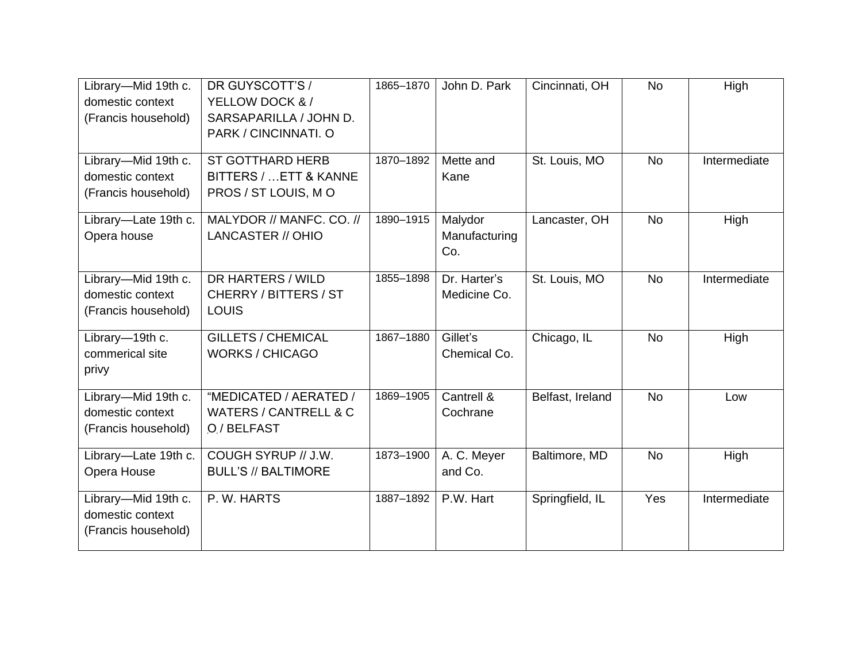| Library-Mid 19th c.<br>domestic context<br>(Francis household) | DR GUYSCOTT'S /<br>YELLOW DOCK & /<br>SARSAPARILLA / JOHN D.<br>PARK / CINCINNATI. O | 1865-1870 | John D. Park                    | Cincinnati, OH   | <b>No</b> | High         |
|----------------------------------------------------------------|--------------------------------------------------------------------------------------|-----------|---------------------------------|------------------|-----------|--------------|
| Library-Mid 19th c.<br>domestic context<br>(Francis household) | <b>ST GOTTHARD HERB</b><br>BITTERS /  ETT & KANNE<br>PROS / ST LOUIS, M O            | 1870-1892 | Mette and<br>Kane               | St. Louis, MO    | <b>No</b> | Intermediate |
| Library-Late 19th c.<br>Opera house                            | MALYDOR // MANFC. CO. //<br>LANCASTER // OHIO                                        | 1890-1915 | Malydor<br>Manufacturing<br>Co. | Lancaster, OH    | <b>No</b> | High         |
| Library-Mid 19th c.<br>domestic context<br>(Francis household) | DR HARTERS / WILD<br>CHERRY / BITTERS / ST<br><b>LOUIS</b>                           | 1855-1898 | Dr. Harter's<br>Medicine Co.    | St. Louis, MO    | <b>No</b> | Intermediate |
| Library-19th c.<br>commerical site<br>privy                    | <b>GILLETS / CHEMICAL</b><br><b>WORKS / CHICAGO</b>                                  | 1867-1880 | Gillet's<br>Chemical Co.        | Chicago, IL      | <b>No</b> | High         |
| Library-Mid 19th c.<br>domestic context<br>(Francis household) | "MEDICATED / AERATED /<br><b>WATERS / CANTRELL &amp; C</b><br>O / BELFAST            | 1869-1905 | Cantrell &<br>Cochrane          | Belfast, Ireland | <b>No</b> | Low          |
| Library-Late 19th c.<br>Opera House                            | COUGH SYRUP // J.W.<br><b>BULL'S // BALTIMORE</b>                                    | 1873-1900 | A. C. Meyer<br>and Co.          | Baltimore, MD    | <b>No</b> | High         |
| Library-Mid 19th c.<br>domestic context<br>(Francis household) | P. W. HARTS                                                                          | 1887-1892 | P.W. Hart                       | Springfield, IL  | Yes       | Intermediate |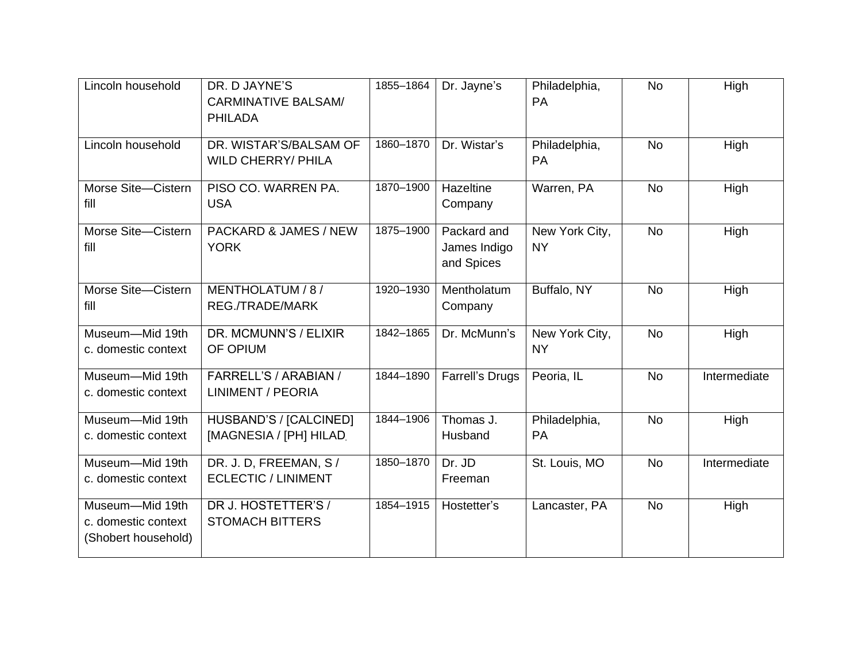| Lincoln household                                             | DR. D JAYNE'S<br><b>CARMINATIVE BALSAM/</b><br><b>PHILADA</b> | 1855-1864 | Dr. Jayne's                               | Philadelphia,<br><b>PA</b>  | <b>No</b> | High         |
|---------------------------------------------------------------|---------------------------------------------------------------|-----------|-------------------------------------------|-----------------------------|-----------|--------------|
| Lincoln household                                             | DR. WISTAR'S/BALSAM OF<br><b>WILD CHERRY/ PHILA</b>           | 1860-1870 | Dr. Wistar's                              | Philadelphia,<br><b>PA</b>  | <b>No</b> | High         |
| Morse Site-Cistern<br>fill                                    | PISO CO. WARREN PA.<br><b>USA</b>                             | 1870-1900 | Hazeltine<br>Company                      | Warren, PA                  | <b>No</b> | High         |
| Morse Site-Cistern<br>fill                                    | PACKARD & JAMES / NEW<br><b>YORK</b>                          | 1875-1900 | Packard and<br>James Indigo<br>and Spices | New York City,<br><b>NY</b> | <b>No</b> | High         |
| Morse Site-Cistern<br>fill                                    | MENTHOLATUM / 8 /<br>REG./TRADE/MARK                          | 1920-1930 | Mentholatum<br>Company                    | Buffalo, NY                 | <b>No</b> | High         |
| Museum-Mid 19th<br>c. domestic context                        | DR. MCMUNN'S / ELIXIR<br>OF OPIUM                             | 1842-1865 | Dr. McMunn's                              | New York City,<br><b>NY</b> | <b>No</b> | High         |
| Museum-Mid 19th<br>c. domestic context                        | FARRELL'S / ARABIAN /<br><b>LINIMENT / PEORIA</b>             | 1844-1890 | <b>Farrell's Drugs</b>                    | Peoria, IL                  | <b>No</b> | Intermediate |
| Museum-Mid 19th<br>c. domestic context                        | HUSBAND'S / [CALCINED]<br>[MAGNESIA / [PH] HILAD.             | 1844-1906 | Thomas J.<br>Husband                      | Philadelphia,<br><b>PA</b>  | <b>No</b> | High         |
| Museum-Mid 19th<br>c. domestic context                        | DR. J. D, FREEMAN, S /<br><b>ECLECTIC / LINIMENT</b>          | 1850-1870 | Dr. JD<br>Freeman                         | St. Louis, MO               | <b>No</b> | Intermediate |
| Museum-Mid 19th<br>c. domestic context<br>(Shobert household) | DR J. HOSTETTER'S /<br><b>STOMACH BITTERS</b>                 | 1854-1915 | Hostetter's                               | Lancaster, PA               | <b>No</b> | High         |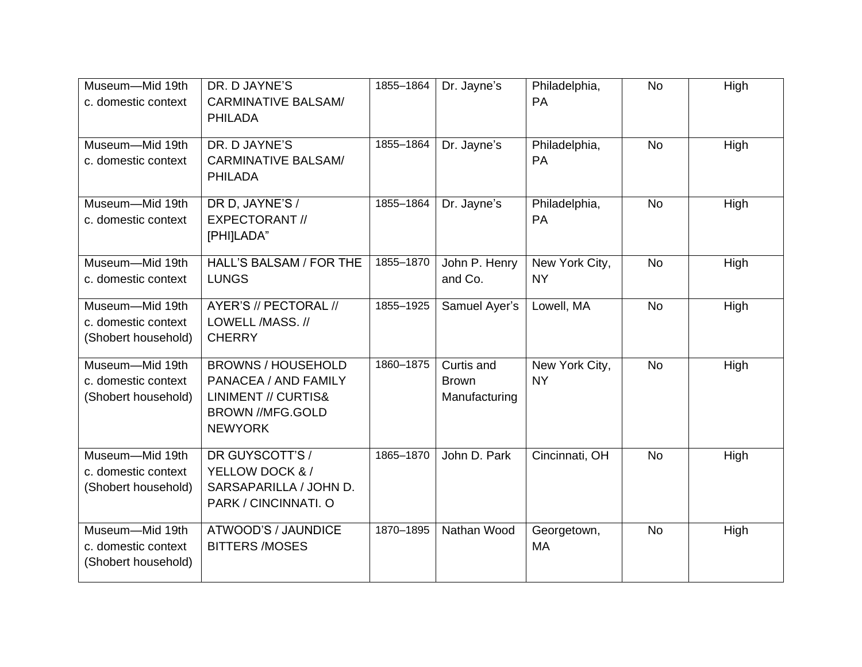| Museum-Mid 19th<br>c. domestic context                        | DR. D JAYNE'S<br><b>CARMINATIVE BALSAM/</b><br><b>PHILADA</b>                                                                    | 1855-1864 | Dr. Jayne's                                 | Philadelphia,<br>PA         | <b>No</b> | High |
|---------------------------------------------------------------|----------------------------------------------------------------------------------------------------------------------------------|-----------|---------------------------------------------|-----------------------------|-----------|------|
| Museum-Mid 19th<br>c. domestic context                        | DR. D JAYNE'S<br><b>CARMINATIVE BALSAM/</b><br><b>PHILADA</b>                                                                    | 1855-1864 | Dr. Jayne's                                 | Philadelphia,<br>PA         | <b>No</b> | High |
| Museum-Mid 19th<br>c. domestic context                        | DR D, JAYNE'S /<br><b>EXPECTORANT //</b><br>[PHI]LADA"                                                                           | 1855-1864 | Dr. Jayne's                                 | Philadelphia,<br><b>PA</b>  | <b>No</b> | High |
| Museum-Mid 19th<br>c. domestic context                        | HALL'S BALSAM / FOR THE<br><b>LUNGS</b>                                                                                          | 1855-1870 | John P. Henry<br>and Co.                    | New York City,<br><b>NY</b> | <b>No</b> | High |
| Museum-Mid 19th<br>c. domestic context<br>(Shobert household) | AYER'S // PECTORAL //<br>LOWELL /MASS. //<br><b>CHERRY</b>                                                                       | 1855-1925 | Samuel Ayer's                               | Lowell, MA                  | <b>No</b> | High |
| Museum-Mid 19th<br>c. domestic context<br>(Shobert household) | <b>BROWNS / HOUSEHOLD</b><br>PANACEA / AND FAMILY<br><b>LINIMENT // CURTIS&amp;</b><br><b>BROWN //MFG.GOLD</b><br><b>NEWYORK</b> | 1860-1875 | Curtis and<br><b>Brown</b><br>Manufacturing | New York City,<br><b>NY</b> | <b>No</b> | High |
| Museum-Mid 19th<br>c. domestic context<br>(Shobert household) | DR GUYSCOTT'S /<br>YELLOW DOCK & /<br>SARSAPARILLA / JOHN D.<br>PARK / CINCINNATI. O                                             | 1865-1870 | John D. Park                                | Cincinnati, OH              | <b>No</b> | High |
| Museum-Mid 19th<br>c. domestic context<br>(Shobert household) | ATWOOD'S / JAUNDICE<br><b>BITTERS /MOSES</b>                                                                                     | 1870-1895 | Nathan Wood                                 | Georgetown,<br><b>MA</b>    | <b>No</b> | High |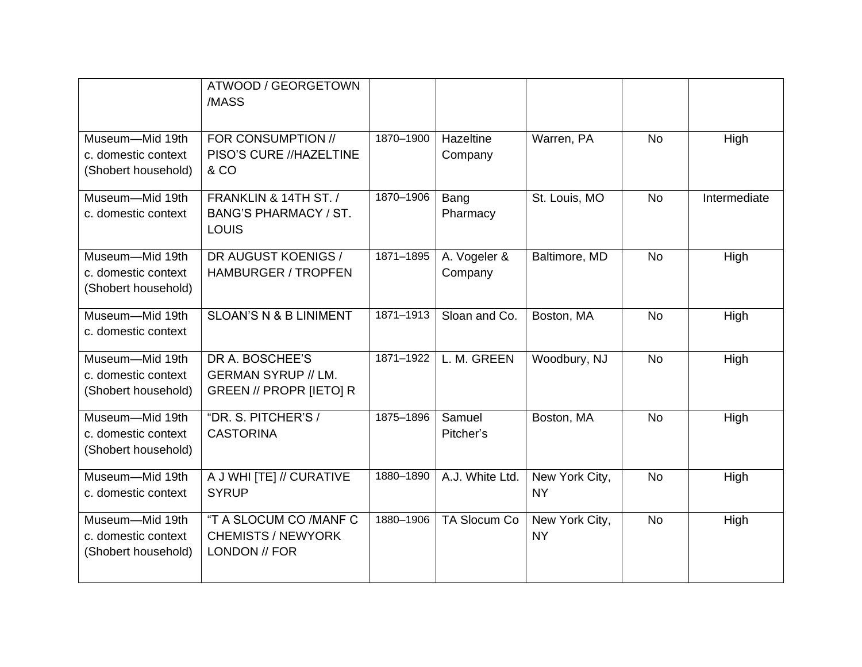|                                                               | ATWOOD / GEORGETOWN<br>/MASS                                             |           |                         |                             |           |              |
|---------------------------------------------------------------|--------------------------------------------------------------------------|-----------|-------------------------|-----------------------------|-----------|--------------|
| Museum-Mid 19th<br>c. domestic context<br>(Shobert household) | FOR CONSUMPTION //<br>PISO'S CURE //HAZELTINE<br>& CO                    | 1870-1900 | Hazeltine<br>Company    | Warren, PA                  | <b>No</b> | High         |
| Museum-Mid 19th<br>c. domestic context                        | FRANKLIN & 14TH ST. /<br><b>BANG'S PHARMACY / ST.</b><br><b>LOUIS</b>    | 1870-1906 | Bang<br>Pharmacy        | St. Louis, MO               | <b>No</b> | Intermediate |
| Museum-Mid 19th<br>c. domestic context<br>(Shobert household) | DR AUGUST KOENIGS /<br><b>HAMBURGER / TROPFEN</b>                        | 1871-1895 | A. Vogeler &<br>Company | Baltimore, MD               | <b>No</b> | High         |
| Museum-Mid 19th<br>c. domestic context                        | <b>SLOAN'S N &amp; B LINIMENT</b>                                        | 1871-1913 | Sloan and Co.           | Boston, MA                  | <b>No</b> | High         |
| Museum-Mid 19th<br>c. domestic context<br>(Shobert household) | DR A. BOSCHEE'S<br><b>GERMAN SYRUP // LM.</b><br>GREEN // PROPR [IETO] R | 1871-1922 | L. M. GREEN             | Woodbury, NJ                | <b>No</b> | High         |
| Museum-Mid 19th<br>c. domestic context<br>(Shobert household) | "DR. S. PITCHER'S /<br><b>CASTORINA</b>                                  | 1875-1896 | Samuel<br>Pitcher's     | Boston, MA                  | <b>No</b> | High         |
| Museum-Mid 19th<br>c. domestic context                        | A J WHI [TE] // CURATIVE<br><b>SYRUP</b>                                 | 1880-1890 | A.J. White Ltd.         | New York City,<br><b>NY</b> | <b>No</b> | High         |
| Museum-Mid 19th<br>c. domestic context<br>(Shobert household) | "T A SLOCUM CO /MANF C<br><b>CHEMISTS / NEWYORK</b><br>LONDON // FOR     | 1880-1906 | <b>TA Slocum Co</b>     | New York City,<br><b>NY</b> | <b>No</b> | High         |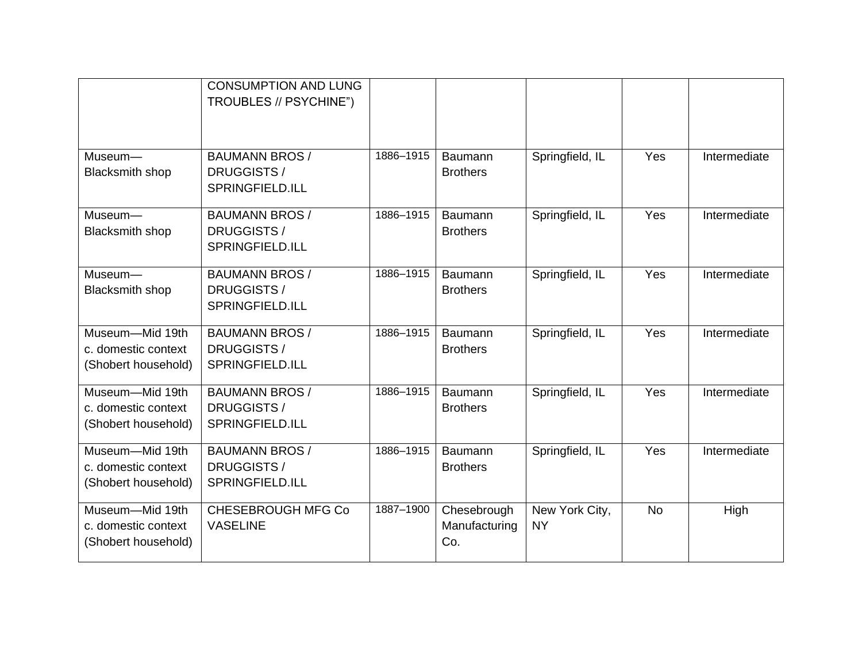|                                                               | <b>CONSUMPTION AND LUNG</b><br>TROUBLES // PSYCHINE")          |           |                                     |                             |           |              |
|---------------------------------------------------------------|----------------------------------------------------------------|-----------|-------------------------------------|-----------------------------|-----------|--------------|
| Museum-<br><b>Blacksmith shop</b>                             | <b>BAUMANN BROS /</b><br>DRUGGISTS /<br><b>SPRINGFIELD.ILL</b> | 1886-1915 | Baumann<br><b>Brothers</b>          | Springfield, IL             | Yes       | Intermediate |
| Museum-<br><b>Blacksmith shop</b>                             | <b>BAUMANN BROS /</b><br>DRUGGISTS /<br><b>SPRINGFIELD.ILL</b> | 1886-1915 | Baumann<br><b>Brothers</b>          | Springfield, IL             | Yes       | Intermediate |
| Museum-<br><b>Blacksmith shop</b>                             | <b>BAUMANN BROS /</b><br>DRUGGISTS /<br><b>SPRINGFIELD.ILL</b> | 1886-1915 | <b>Baumann</b><br><b>Brothers</b>   | Springfield, IL             | Yes       | Intermediate |
| Museum-Mid 19th<br>c. domestic context<br>(Shobert household) | <b>BAUMANN BROS /</b><br>DRUGGISTS /<br><b>SPRINGFIELD.ILL</b> | 1886-1915 | Baumann<br><b>Brothers</b>          | Springfield, IL             | Yes       | Intermediate |
| Museum-Mid 19th<br>c. domestic context<br>(Shobert household) | <b>BAUMANN BROS /</b><br>DRUGGISTS /<br>SPRINGFIELD.ILL        | 1886-1915 | Baumann<br><b>Brothers</b>          | Springfield, IL             | Yes       | Intermediate |
| Museum-Mid 19th<br>c. domestic context<br>(Shobert household) | <b>BAUMANN BROS /</b><br>DRUGGISTS /<br>SPRINGFIELD.ILL        | 1886-1915 | Baumann<br><b>Brothers</b>          | Springfield, IL             | Yes       | Intermediate |
| Museum-Mid 19th<br>c. domestic context<br>(Shobert household) | <b>CHESEBROUGH MFG Co</b><br><b>VASELINE</b>                   | 1887-1900 | Chesebrough<br>Manufacturing<br>Co. | New York City,<br><b>NY</b> | <b>No</b> | High         |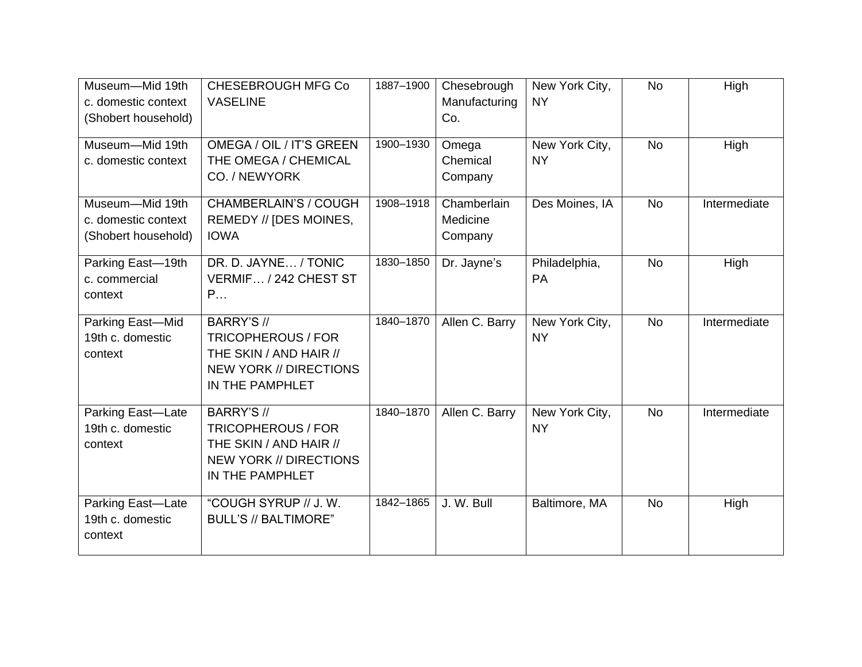| Museum-Mid 19th<br>c. domestic context<br>(Shobert household) | <b>CHESEBROUGH MFG Co</b><br><b>VASELINE</b>                                                                                 | 1887-1900 | Chesebrough<br>Manufacturing<br>Co. | New York City,<br><b>NY</b> | <b>No</b> | High         |
|---------------------------------------------------------------|------------------------------------------------------------------------------------------------------------------------------|-----------|-------------------------------------|-----------------------------|-----------|--------------|
| Museum-Mid 19th<br>c. domestic context                        | OMEGA / OIL / IT'S GREEN<br>THE OMEGA / CHEMICAL<br>CO. / NEWYORK                                                            | 1900-1930 | Omega<br>Chemical<br>Company        | New York City,<br><b>NY</b> | <b>No</b> | High         |
| Museum-Mid 19th<br>c. domestic context<br>(Shobert household) | <b>CHAMBERLAIN'S / COUGH</b><br>REMEDY // [DES MOINES,<br><b>IOWA</b>                                                        | 1908-1918 | Chamberlain<br>Medicine<br>Company  | Des Moines, IA              | <b>No</b> | Intermediate |
| Parking East-19th<br>c. commercial<br>context                 | DR. D. JAYNE / TONIC<br>VERMIF / 242 CHEST ST<br>P                                                                           | 1830-1850 | Dr. Jayne's                         | Philadelphia,<br>PA         | <b>No</b> | High         |
| Parking East-Mid<br>19th c. domestic<br>context               | BARRY'S //<br><b>TRICOPHEROUS / FOR</b><br>THE SKIN / AND HAIR //<br><b>NEW YORK // DIRECTIONS</b><br>IN THE PAMPHLET        | 1840-1870 | Allen C. Barry                      | New York City,<br><b>NY</b> | <b>No</b> | Intermediate |
| Parking East-Late<br>19th c. domestic<br>context              | <b>BARRY'S //</b><br><b>TRICOPHEROUS / FOR</b><br>THE SKIN / AND HAIR //<br><b>NEW YORK // DIRECTIONS</b><br>IN THE PAMPHLET | 1840-1870 | Allen C. Barry                      | New York City,<br><b>NY</b> | <b>No</b> | Intermediate |
| Parking East-Late<br>19th c. domestic<br>context              | "COUGH SYRUP // J.W.<br><b>BULL'S // BALTIMORE"</b>                                                                          | 1842-1865 | J. W. Bull                          | Baltimore, MA               | <b>No</b> | High         |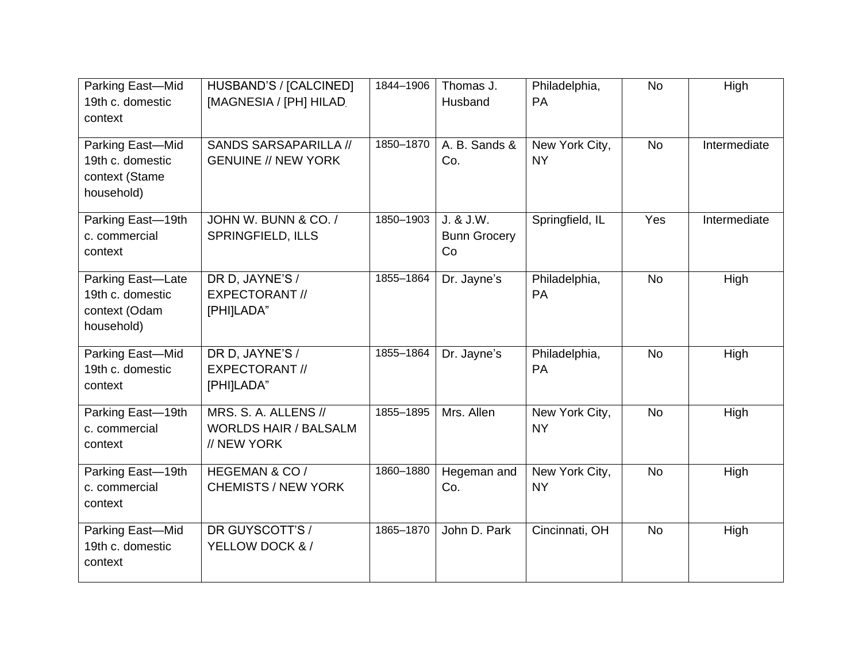| Parking East-Mid<br>19th c. domestic<br>context                      | HUSBAND'S / [CALCINED]<br>[MAGNESIA / [PH] HILAD                    | 1844-1906 | Thomas J.<br>Husband                   | Philadelphia,<br>PA         | <b>No</b> | High         |
|----------------------------------------------------------------------|---------------------------------------------------------------------|-----------|----------------------------------------|-----------------------------|-----------|--------------|
| Parking East-Mid<br>19th c. domestic<br>context (Stame<br>household) | SANDS SARSAPARILLA //<br><b>GENUINE // NEW YORK</b>                 | 1850-1870 | A. B. Sands &<br>Co.                   | New York City,<br><b>NY</b> | <b>No</b> | Intermediate |
| Parking East-19th<br>c. commercial<br>context                        | JOHN W. BUNN & CO. /<br><b>SPRINGFIELD, ILLS</b>                    | 1850-1903 | J. & J.W.<br><b>Bunn Grocery</b><br>Co | Springfield, IL             | Yes       | Intermediate |
| Parking East-Late<br>19th c. domestic<br>context (Odam<br>household) | DR D, JAYNE'S /<br><b>EXPECTORANT //</b><br>[PHI]LADA"              | 1855-1864 | Dr. Jayne's                            | Philadelphia,<br>PA         | <b>No</b> | High         |
| Parking East-Mid<br>19th c. domestic<br>context                      | DR D, JAYNE'S /<br><b>EXPECTORANT //</b><br>[PHI]LADA"              | 1855-1864 | Dr. Jayne's                            | Philadelphia,<br>PA         | <b>No</b> | High         |
| Parking East-19th<br>c. commercial<br>context                        | MRS. S. A. ALLENS //<br><b>WORLDS HAIR / BALSALM</b><br>// NEW YORK | 1855-1895 | Mrs. Allen                             | New York City,<br><b>NY</b> | <b>No</b> | High         |
| Parking East-19th<br>c. commercial<br>context                        | HEGEMAN & CO /<br><b>CHEMISTS / NEW YORK</b>                        | 1860-1880 | Hegeman and<br>Co.                     | New York City,<br><b>NY</b> | <b>No</b> | High         |
| Parking East-Mid<br>19th c. domestic<br>context                      | DR GUYSCOTT'S /<br>YELLOW DOCK & /                                  | 1865-1870 | John D. Park                           | Cincinnati, OH              | <b>No</b> | High         |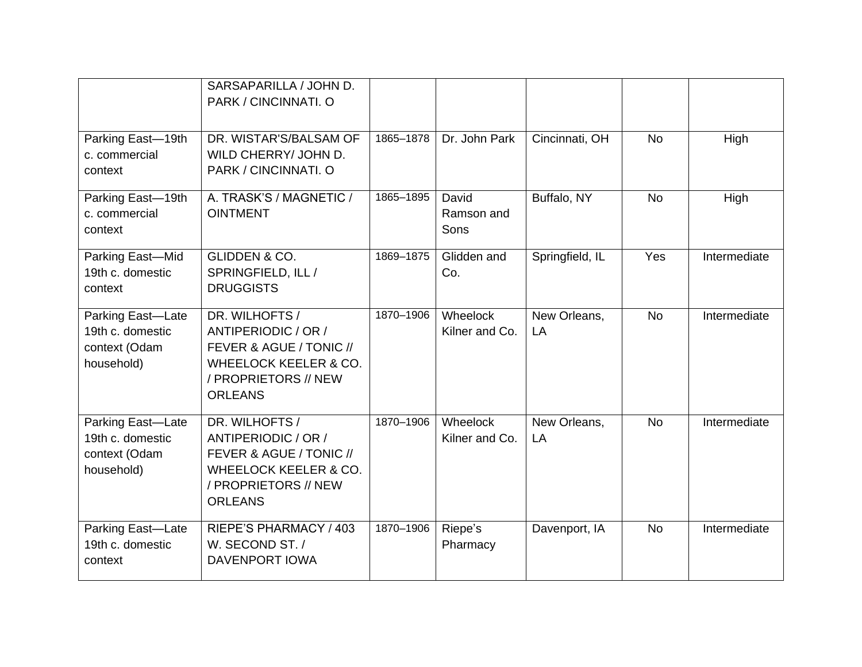|                                                                      | SARSAPARILLA / JOHN D.<br>PARK / CINCINNATI. O                                                                                                 |           |                             |                    |           |              |
|----------------------------------------------------------------------|------------------------------------------------------------------------------------------------------------------------------------------------|-----------|-----------------------------|--------------------|-----------|--------------|
| Parking East-19th<br>c. commercial<br>context                        | DR. WISTAR'S/BALSAM OF<br>WILD CHERRY/ JOHN D.<br>PARK / CINCINNATI. O                                                                         | 1865-1878 | Dr. John Park               | Cincinnati, OH     | <b>No</b> | High         |
| Parking East-19th<br>c. commercial<br>context                        | A. TRASK'S / MAGNETIC /<br><b>OINTMENT</b>                                                                                                     | 1865-1895 | David<br>Ramson and<br>Sons | Buffalo, NY        | <b>No</b> | High         |
| Parking East-Mid<br>19th c. domestic<br>context                      | <b>GLIDDEN &amp; CO.</b><br>SPRINGFIELD, ILL /<br><b>DRUGGISTS</b>                                                                             | 1869-1875 | Glidden and<br>Co.          | Springfield, IL    | Yes       | Intermediate |
| Parking East-Late<br>19th c. domestic<br>context (Odam<br>household) | DR. WILHOFTS /<br>ANTIPERIODIC / OR /<br>FEVER & AGUE / TONIC //<br><b>WHEELOCK KEELER &amp; CO.</b><br>/ PROPRIETORS // NEW<br><b>ORLEANS</b> | 1870-1906 | Wheelock<br>Kilner and Co.  | New Orleans,<br>LA | <b>No</b> | Intermediate |
| Parking East-Late<br>19th c. domestic<br>context (Odam<br>household) | DR. WILHOFTS /<br>ANTIPERIODIC / OR /<br>FEVER & AGUE / TONIC //<br><b>WHEELOCK KEELER &amp; CO.</b><br>/ PROPRIETORS // NEW<br><b>ORLEANS</b> | 1870-1906 | Wheelock<br>Kilner and Co.  | New Orleans,<br>LA | <b>No</b> | Intermediate |
| Parking East-Late<br>19th c. domestic<br>context                     | RIEPE'S PHARMACY / 403<br>W. SECOND ST. /<br><b>DAVENPORT IOWA</b>                                                                             | 1870-1906 | Riepe's<br>Pharmacy         | Davenport, IA      | <b>No</b> | Intermediate |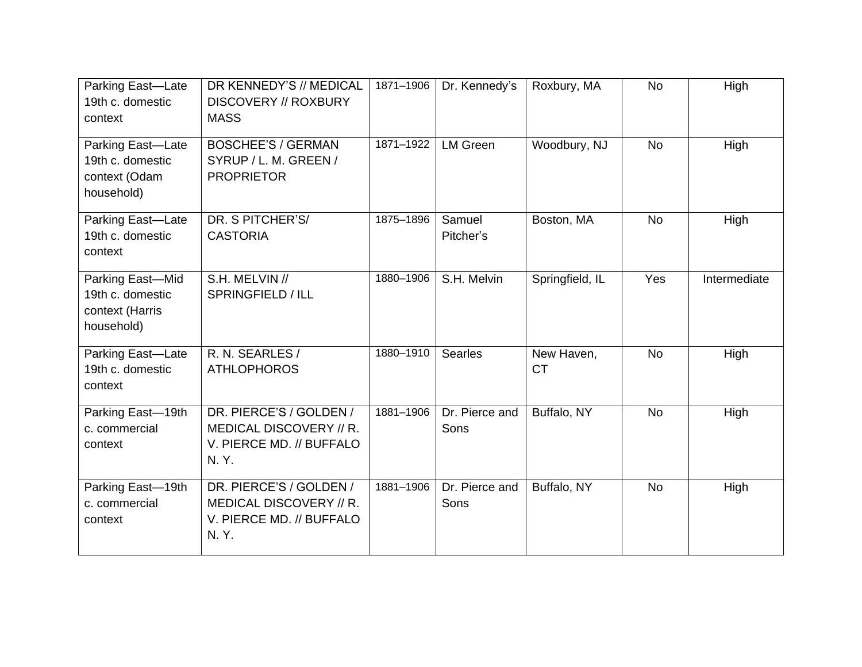| Parking East-Late<br>19th c. domestic<br>context                      | DR KENNEDY'S // MEDICAL<br><b>DISCOVERY // ROXBURY</b><br><b>MASS</b>                  | 1871-1906 | Dr. Kennedy's          | Roxbury, MA             | <b>No</b> | High         |
|-----------------------------------------------------------------------|----------------------------------------------------------------------------------------|-----------|------------------------|-------------------------|-----------|--------------|
| Parking East-Late<br>19th c. domestic<br>context (Odam<br>household)  | <b>BOSCHEE'S / GERMAN</b><br>SYRUP / L. M. GREEN /<br><b>PROPRIETOR</b>                | 1871-1922 | <b>LM Green</b>        | Woodbury, NJ            | <b>No</b> | High         |
| Parking East-Late<br>19th c. domestic<br>context                      | DR. S PITCHER'S/<br><b>CASTORIA</b>                                                    | 1875-1896 | Samuel<br>Pitcher's    | Boston, MA              | <b>No</b> | High         |
| Parking East-Mid<br>19th c. domestic<br>context (Harris<br>household) | S.H. MELVIN //<br>SPRINGFIELD / ILL                                                    | 1880-1906 | S.H. Melvin            | Springfield, IL         | Yes       | Intermediate |
| Parking East-Late<br>19th c. domestic<br>context                      | R. N. SEARLES /<br><b>ATHLOPHOROS</b>                                                  | 1880-1910 | <b>Searles</b>         | New Haven,<br><b>CT</b> | <b>No</b> | High         |
| Parking East-19th<br>c. commercial<br>context                         | DR. PIERCE'S / GOLDEN /<br>MEDICAL DISCOVERY // R.<br>V. PIERCE MD. // BUFFALO<br>N.Y. | 1881-1906 | Dr. Pierce and<br>Sons | Buffalo, NY             | <b>No</b> | High         |
| Parking East-19th<br>c. commercial<br>context                         | DR. PIERCE'S / GOLDEN /<br>MEDICAL DISCOVERY // R.<br>V. PIERCE MD. // BUFFALO<br>N.Y. | 1881-1906 | Dr. Pierce and<br>Sons | Buffalo, NY             | <b>No</b> | High         |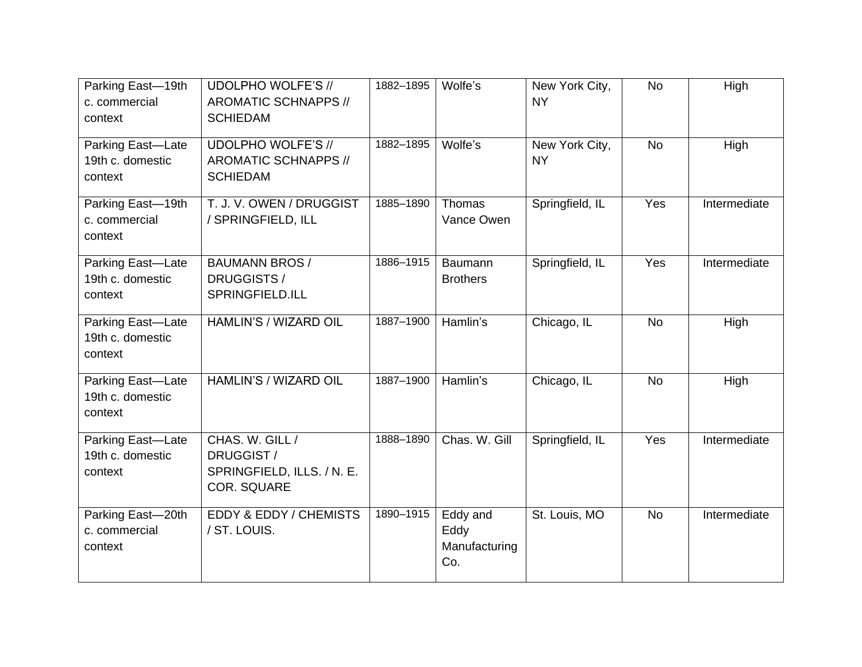| Parking East-19th<br>c. commercial<br>context    | <b>UDOLPHO WOLFE'S //</b><br>AROMATIC SCHNAPPS //<br><b>SCHIEDAM</b>              | 1882-1895 | Wolfe's                                  | New York City,<br><b>NY</b> | <b>No</b> | High         |
|--------------------------------------------------|-----------------------------------------------------------------------------------|-----------|------------------------------------------|-----------------------------|-----------|--------------|
| Parking East-Late<br>19th c. domestic<br>context | <b>UDOLPHO WOLFE'S //</b><br><b>AROMATIC SCHNAPPS //</b><br><b>SCHIEDAM</b>       | 1882-1895 | Wolfe's                                  | New York City,<br><b>NY</b> | <b>No</b> | High         |
| Parking East-19th<br>c. commercial<br>context    | T. J. V. OWEN / DRUGGIST<br>/ SPRINGFIELD, ILL                                    | 1885-1890 | Thomas<br>Vance Owen                     | Springfield, IL             | Yes       | Intermediate |
| Parking East-Late<br>19th c. domestic<br>context | <b>BAUMANN BROS /</b><br>DRUGGISTS /<br>SPRINGFIELD.ILL                           | 1886-1915 | Baumann<br><b>Brothers</b>               | Springfield, IL             | Yes       | Intermediate |
| Parking East-Late<br>19th c. domestic<br>context | HAMLIN'S / WIZARD OIL                                                             | 1887-1900 | Hamlin's                                 | Chicago, IL                 | <b>No</b> | High         |
| Parking East-Late<br>19th c. domestic<br>context | HAMLIN'S / WIZARD OIL                                                             | 1887-1900 | Hamlin's                                 | Chicago, IL                 | <b>No</b> | High         |
| Parking East-Late<br>19th c. domestic<br>context | CHAS, W. GILL /<br>DRUGGIST /<br>SPRINGFIELD, ILLS. / N. E.<br><b>COR. SQUARE</b> | 1888-1890 | Chas. W. Gill                            | Springfield, IL             | Yes       | Intermediate |
| Parking East-20th<br>c. commercial<br>context    | <b>EDDY &amp; EDDY / CHEMISTS</b><br>/ ST. LOUIS.                                 | 1890-1915 | Eddy and<br>Eddy<br>Manufacturing<br>Co. | St. Louis, MO               | <b>No</b> | Intermediate |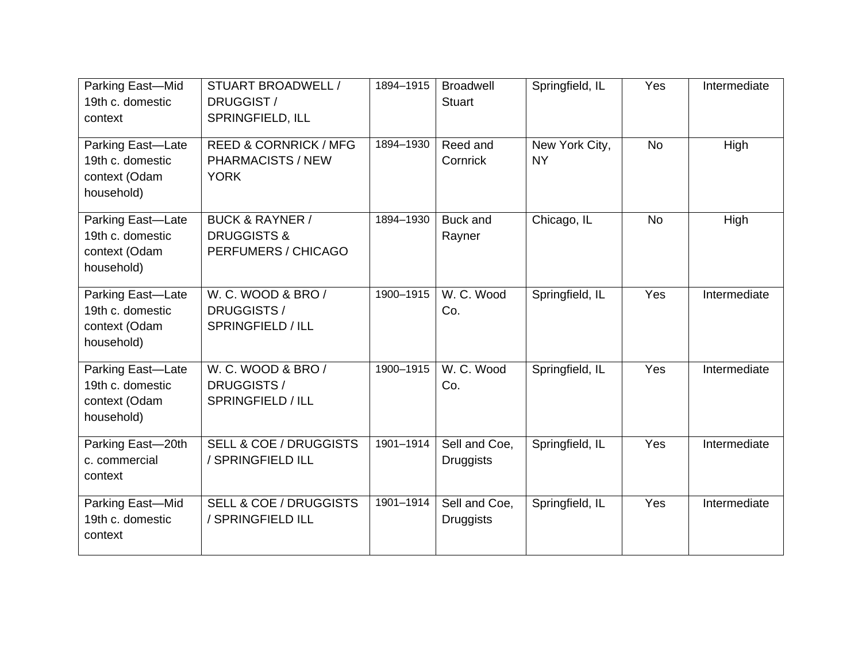| Parking East-Mid<br>19th c. domestic<br>context                      | STUART BROADWELL /<br>DRUGGIST /<br>SPRINGFIELD, ILL                        | 1894-1915 | <b>Broadwell</b><br><b>Stuart</b> | Springfield, IL             | Yes       | Intermediate |
|----------------------------------------------------------------------|-----------------------------------------------------------------------------|-----------|-----------------------------------|-----------------------------|-----------|--------------|
| Parking East-Late<br>19th c. domestic<br>context (Odam<br>household) | <b>REED &amp; CORNRICK / MFG</b><br>PHARMACISTS / NEW<br><b>YORK</b>        | 1894-1930 | Reed and<br>Cornrick              | New York City,<br><b>NY</b> | <b>No</b> | High         |
| Parking East-Late<br>19th c. domestic<br>context (Odam<br>household) | <b>BUCK &amp; RAYNER /</b><br><b>DRUGGISTS &amp;</b><br>PERFUMERS / CHICAGO | 1894-1930 | Buck and<br>Rayner                | Chicago, IL                 | <b>No</b> | High         |
| Parking East-Late<br>19th c. domestic<br>context (Odam<br>household) | W. C. WOOD & BRO /<br>DRUGGISTS /<br>SPRINGFIELD / ILL                      | 1900-1915 | W. C. Wood<br>Co.                 | Springfield, IL             | Yes       | Intermediate |
| Parking East-Late<br>19th c. domestic<br>context (Odam<br>household) | W. C. WOOD & BRO /<br>DRUGGISTS /<br>SPRINGFIELD / ILL                      | 1900-1915 | W. C. Wood<br>Co.                 | Springfield, IL             | Yes       | Intermediate |
| Parking East-20th<br>c. commercial<br>context                        | <b>SELL &amp; COE / DRUGGISTS</b><br>/ SPRINGFIELD ILL                      | 1901-1914 | Sell and Coe.<br><b>Druggists</b> | Springfield, IL             | Yes       | Intermediate |
| Parking East-Mid<br>19th c. domestic<br>context                      | <b>SELL &amp; COE / DRUGGISTS</b><br>/ SPRINGFIELD ILL                      | 1901-1914 | Sell and Coe.<br><b>Druggists</b> | Springfield, IL             | Yes       | Intermediate |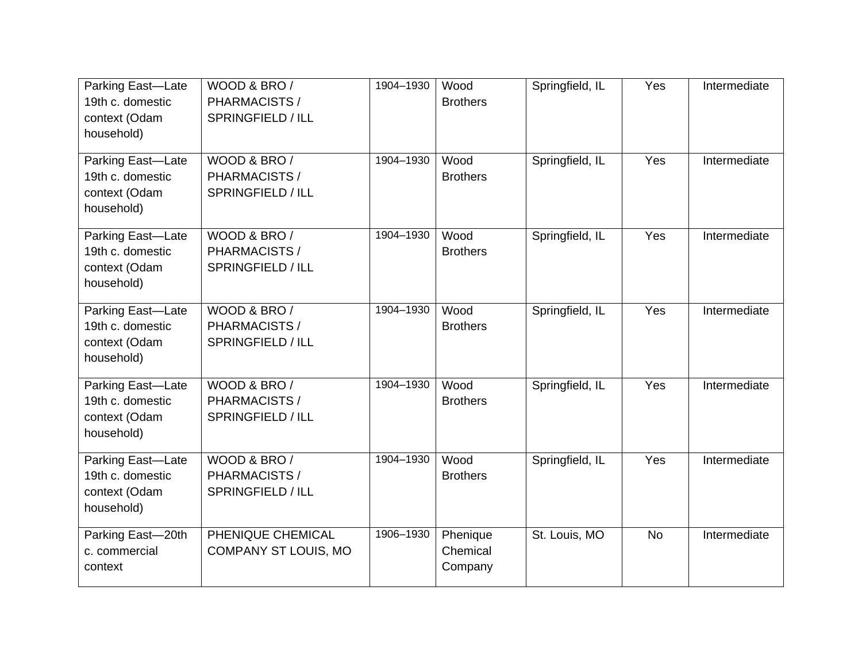| Parking East-Late<br>19th c. domestic<br>context (Odam<br>household) | WOOD & BRO /<br>PHARMACISTS /<br>SPRINGFIELD / ILL | 1904-1930 | Wood<br><b>Brothers</b>         | Springfield, IL | Yes       | Intermediate |
|----------------------------------------------------------------------|----------------------------------------------------|-----------|---------------------------------|-----------------|-----------|--------------|
| Parking East-Late<br>19th c. domestic<br>context (Odam<br>household) | WOOD & BRO /<br>PHARMACISTS /<br>SPRINGFIELD / ILL | 1904-1930 | Wood<br><b>Brothers</b>         | Springfield, IL | Yes       | Intermediate |
| Parking East-Late<br>19th c. domestic<br>context (Odam<br>household) | WOOD & BRO /<br>PHARMACISTS /<br>SPRINGFIELD / ILL | 1904-1930 | Wood<br><b>Brothers</b>         | Springfield, IL | Yes       | Intermediate |
| Parking East-Late<br>19th c. domestic<br>context (Odam<br>household) | WOOD & BRO /<br>PHARMACISTS /<br>SPRINGFIELD / ILL | 1904-1930 | Wood<br><b>Brothers</b>         | Springfield, IL | Yes       | Intermediate |
| Parking East-Late<br>19th c. domestic<br>context (Odam<br>household) | WOOD & BRO /<br>PHARMACISTS /<br>SPRINGFIELD / ILL | 1904-1930 | Wood<br><b>Brothers</b>         | Springfield, IL | Yes       | Intermediate |
| Parking East-Late<br>19th c. domestic<br>context (Odam<br>household) | WOOD & BRO /<br>PHARMACISTS /<br>SPRINGFIELD / ILL | 1904-1930 | Wood<br><b>Brothers</b>         | Springfield, IL | Yes       | Intermediate |
| Parking East-20th<br>c. commercial<br>context                        | PHENIQUE CHEMICAL<br><b>COMPANY ST LOUIS, MO</b>   | 1906-1930 | Phenique<br>Chemical<br>Company | St. Louis, MO   | <b>No</b> | Intermediate |